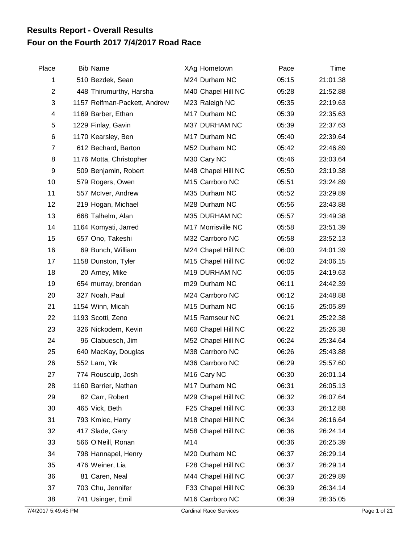## **Four on the Fourth 2017 7/4/2017 Road Race Results Report - Overall Results**

| Place          | <b>Bib Name</b>              | XAg Hometown            | Pace  | Time     |  |
|----------------|------------------------------|-------------------------|-------|----------|--|
| 1              | 510 Bezdek, Sean             | M24 Durham NC           | 05:15 | 21:01.38 |  |
| $\overline{c}$ | 448 Thirumurthy, Harsha      | M40 Chapel Hill NC      | 05:28 | 21:52.88 |  |
| 3              | 1157 Reifman-Packett, Andrew | M23 Raleigh NC          | 05:35 | 22:19.63 |  |
| 4              | 1169 Barber, Ethan           | M17 Durham NC           | 05:39 | 22:35.63 |  |
| 5              | 1229 Finlay, Gavin           | M37 DURHAM NC           | 05:39 | 22:37.63 |  |
| 6              | 1170 Kearsley, Ben           | M17 Durham NC           | 05:40 | 22:39.64 |  |
| $\overline{7}$ | 612 Bechard, Barton          | M52 Durham NC           | 05:42 | 22:46.89 |  |
| 8              | 1176 Motta, Christopher      | M30 Cary NC             | 05:46 | 23:03.64 |  |
| 9              | 509 Benjamin, Robert         | M48 Chapel Hill NC      | 05:50 | 23:19.38 |  |
| 10             | 579 Rogers, Owen             | M15 Carrboro NC         | 05:51 | 23:24.89 |  |
| 11             | 557 McIver, Andrew           | M35 Durham NC           | 05:52 | 23:29.89 |  |
| 12             | 219 Hogan, Michael           | M28 Durham NC           | 05:56 | 23:43.88 |  |
| 13             | 668 Talhelm, Alan            | M35 DURHAM NC           | 05:57 | 23:49.38 |  |
| 14             | 1164 Komyati, Jarred         | M17 Morrisville NC      | 05:58 | 23:51.39 |  |
| 15             | 657 Ono, Takeshi             | M32 Carrboro NC         | 05:58 | 23:52.13 |  |
| 16             | 69 Bunch, William            | M24 Chapel Hill NC      | 06:00 | 24:01.39 |  |
| 17             | 1158 Dunston, Tyler          | M15 Chapel Hill NC      | 06:02 | 24:06.15 |  |
| 18             | 20 Arney, Mike               | M19 DURHAM NC           | 06:05 | 24:19.63 |  |
| 19             | 654 murray, brendan          | m29 Durham NC           | 06:11 | 24:42.39 |  |
| 20             | 327 Noah, Paul               | M24 Carrboro NC         | 06:12 | 24:48.88 |  |
| 21             | 1154 Winn, Micah             | M15 Durham NC           | 06:16 | 25:05.89 |  |
| 22             | 1193 Scotti, Zeno            | M15 Ramseur NC          | 06:21 | 25:22.38 |  |
| 23             | 326 Nickodem, Kevin          | M60 Chapel Hill NC      | 06:22 | 25:26.38 |  |
| 24             | 96 Clabuesch, Jim            | M52 Chapel Hill NC      | 06:24 | 25:34.64 |  |
| 25             | 640 MacKay, Douglas          | M38 Carrboro NC         | 06:26 | 25:43.88 |  |
| 26             | 552 Lam, Yik                 | M36 Carrboro NC         | 06:29 | 25:57.60 |  |
| 27             | 774 Rousculp, Josh           | M <sub>16</sub> Cary NC | 06:30 | 26:01.14 |  |
| 28             | 1160 Barrier, Nathan         | M17 Durham NC           | 06:31 | 26:05.13 |  |
| 29             | 82 Carr, Robert              | M29 Chapel Hill NC      | 06:32 | 26:07.64 |  |
| 30             | 465 Vick, Beth               | F25 Chapel Hill NC      | 06:33 | 26:12.88 |  |
| 31             | 793 Kmiec, Harry             | M18 Chapel Hill NC      | 06:34 | 26:16.64 |  |
| 32             | 417 Slade, Gary              | M58 Chapel Hill NC      | 06:36 | 26:24.14 |  |
| 33             | 566 O'Neill, Ronan           | M14                     | 06:36 | 26:25.39 |  |
| 34             | 798 Hannapel, Henry          | M20 Durham NC           | 06:37 | 26:29.14 |  |
| 35             | 476 Weiner, Lia              | F28 Chapel Hill NC      | 06:37 | 26:29.14 |  |
| 36             | 81 Caren, Neal               | M44 Chapel Hill NC      | 06:37 | 26:29.89 |  |
| 37             | 703 Chu, Jennifer            | F33 Chapel Hill NC      | 06:39 | 26:34.14 |  |
| 38             | 741 Usinger, Emil            | M16 Carrboro NC         | 06:39 | 26:35.05 |  |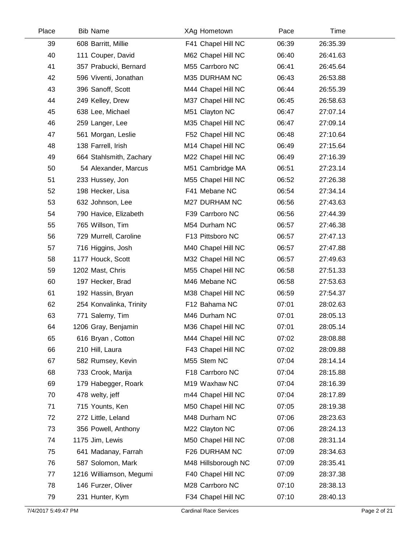| Place | <b>Bib Name</b>         | XAg Hometown        | Pace  | <b>Time</b> |  |
|-------|-------------------------|---------------------|-------|-------------|--|
| 39    | 608 Barritt, Millie     | F41 Chapel Hill NC  | 06:39 | 26:35.39    |  |
| 40    | 111 Couper, David       | M62 Chapel Hill NC  | 06:40 | 26:41.63    |  |
| 41    | 357 Prabucki, Bernard   | M55 Carrboro NC     | 06:41 | 26:45.64    |  |
| 42    | 596 Viventi, Jonathan   | M35 DURHAM NC       | 06:43 | 26:53.88    |  |
| 43    | 396 Sanoff, Scott       | M44 Chapel Hill NC  | 06:44 | 26:55.39    |  |
| 44    | 249 Kelley, Drew        | M37 Chapel Hill NC  | 06:45 | 26:58.63    |  |
| 45    | 638 Lee, Michael        | M51 Clayton NC      | 06:47 | 27:07.14    |  |
| 46    | 259 Langer, Lee         | M35 Chapel Hill NC  | 06:47 | 27:09.14    |  |
| 47    | 561 Morgan, Leslie      | F52 Chapel Hill NC  | 06:48 | 27:10.64    |  |
| 48    | 138 Farrell, Irish      | M14 Chapel Hill NC  | 06:49 | 27:15.64    |  |
| 49    | 664 Stahlsmith, Zachary | M22 Chapel Hill NC  | 06:49 | 27:16.39    |  |
| 50    | 54 Alexander, Marcus    | M51 Cambridge MA    | 06:51 | 27:23.14    |  |
| 51    | 233 Hussey, Jon         | M55 Chapel Hill NC  | 06:52 | 27:26.38    |  |
| 52    | 198 Hecker, Lisa        | F41 Mebane NC       | 06:54 | 27:34.14    |  |
| 53    | 632 Johnson, Lee        | M27 DURHAM NC       | 06:56 | 27:43.63    |  |
| 54    | 790 Havice, Elizabeth   | F39 Carrboro NC     | 06:56 | 27:44.39    |  |
| 55    | 765 Willson, Tim        | M54 Durham NC       | 06:57 | 27:46.38    |  |
| 56    | 729 Murrell, Caroline   | F13 Pittsboro NC    | 06:57 | 27:47.13    |  |
| 57    | 716 Higgins, Josh       | M40 Chapel Hill NC  | 06:57 | 27:47.88    |  |
| 58    | 1177 Houck, Scott       | M32 Chapel Hill NC  | 06:57 | 27:49.63    |  |
| 59    | 1202 Mast, Chris        | M55 Chapel Hill NC  | 06:58 | 27:51.33    |  |
| 60    | 197 Hecker, Brad        | M46 Mebane NC       | 06:58 | 27:53.63    |  |
| 61    | 192 Hassin, Bryan       | M38 Chapel Hill NC  | 06:59 | 27:54.37    |  |
| 62    | 254 Konvalinka, Trinity | F12 Bahama NC       | 07:01 | 28:02.63    |  |
| 63    | 771 Salemy, Tim         | M46 Durham NC       | 07:01 | 28:05.13    |  |
| 64    | 1206 Gray, Benjamin     | M36 Chapel Hill NC  | 07:01 | 28:05.14    |  |
| 65    | 616 Bryan, Cotton       | M44 Chapel Hill NC  | 07:02 | 28:08.88    |  |
| 66    | 210 Hill, Laura         | F43 Chapel Hill NC  | 07:02 | 28:09.88    |  |
| 67    | 582 Rumsey, Kevin       | M55 Stem NC         | 07:04 | 28:14.14    |  |
| 68    | 733 Crook, Marija       | F18 Carrboro NC     | 07:04 | 28:15.88    |  |
| 69    | 179 Habegger, Roark     | M19 Waxhaw NC       | 07:04 | 28:16.39    |  |
| 70    | 478 welty, jeff         | m44 Chapel Hill NC  | 07:04 | 28:17.89    |  |
| 71    | 715 Younts, Ken         | M50 Chapel Hill NC  | 07:05 | 28:19.38    |  |
| 72    | 272 Little, Leland      | M48 Durham NC       | 07:06 | 28:23.63    |  |
| 73    | 356 Powell, Anthony     | M22 Clayton NC      | 07:06 | 28:24.13    |  |
| 74    | 1175 Jim, Lewis         | M50 Chapel Hill NC  | 07:08 | 28:31.14    |  |
| 75    | 641 Madanay, Farrah     | F26 DURHAM NC       | 07:09 | 28:34.63    |  |
| 76    | 587 Solomon, Mark       | M48 Hillsborough NC | 07:09 | 28:35.41    |  |
| 77    | 1216 Williamson, Megumi | F40 Chapel Hill NC  | 07:09 | 28:37.38    |  |
| 78    | 146 Furzer, Oliver      | M28 Carrboro NC     | 07:10 | 28:38.13    |  |
| 79    | 231 Hunter, Kym         | F34 Chapel Hill NC  | 07:10 | 28:40.13    |  |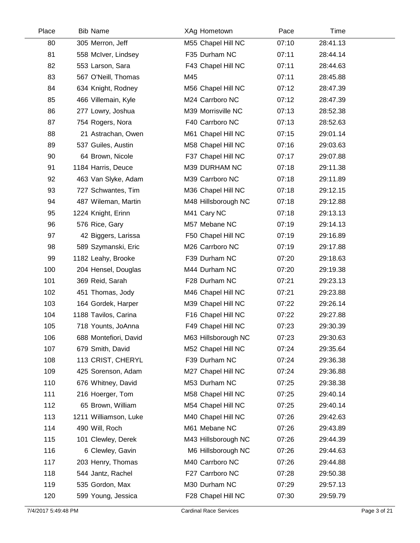| Place | <b>Bib Name</b>       | XAg Hometown        | Pace  | Time     |  |
|-------|-----------------------|---------------------|-------|----------|--|
| 80    | 305 Merron, Jeff      | M55 Chapel Hill NC  | 07:10 | 28:41.13 |  |
| 81    | 558 McIver, Lindsey   | F35 Durham NC       | 07:11 | 28:44.14 |  |
| 82    | 553 Larson, Sara      | F43 Chapel Hill NC  | 07:11 | 28:44.63 |  |
| 83    | 567 O'Neill, Thomas   | M45                 | 07:11 | 28:45.88 |  |
| 84    | 634 Knight, Rodney    | M56 Chapel Hill NC  | 07:12 | 28:47.39 |  |
| 85    | 466 Villemain, Kyle   | M24 Carrboro NC     | 07:12 | 28:47.39 |  |
| 86    | 277 Lowry, Joshua     | M39 Morrisville NC  | 07:13 | 28:52.38 |  |
| 87    | 754 Rogers, Nora      | F40 Carrboro NC     | 07:13 | 28:52.63 |  |
| 88    | 21 Astrachan, Owen    | M61 Chapel Hill NC  | 07:15 | 29:01.14 |  |
| 89    | 537 Guiles, Austin    | M58 Chapel Hill NC  | 07:16 | 29:03.63 |  |
| 90    | 64 Brown, Nicole      | F37 Chapel Hill NC  | 07:17 | 29:07.88 |  |
| 91    | 1184 Harris, Deuce    | M39 DURHAM NC       | 07:18 | 29:11.38 |  |
| 92    | 463 Van Slyke, Adam   | M39 Carrboro NC     | 07:18 | 29:11.89 |  |
| 93    | 727 Schwantes, Tim    | M36 Chapel Hill NC  | 07:18 | 29:12.15 |  |
| 94    | 487 Wileman, Martin   | M48 Hillsborough NC | 07:18 | 29:12.88 |  |
| 95    | 1224 Knight, Erinn    | M41 Cary NC         | 07:18 | 29:13.13 |  |
| 96    | 576 Rice, Gary        | M57 Mebane NC       | 07:19 | 29:14.13 |  |
| 97    | 42 Biggers, Larissa   | F50 Chapel Hill NC  | 07:19 | 29:16.89 |  |
| 98    | 589 Szymanski, Eric   | M26 Carrboro NC     | 07:19 | 29:17.88 |  |
| 99    | 1182 Leahy, Brooke    | F39 Durham NC       | 07:20 | 29:18.63 |  |
| 100   | 204 Hensel, Douglas   | M44 Durham NC       | 07:20 | 29:19.38 |  |
| 101   | 369 Reid, Sarah       | F28 Durham NC       | 07:21 | 29:23.13 |  |
| 102   | 451 Thomas, Jody      | M46 Chapel Hill NC  | 07:21 | 29:23.88 |  |
| 103   | 164 Gordek, Harper    | M39 Chapel Hill NC  | 07:22 | 29:26.14 |  |
| 104   | 1188 Tavilos, Carina  | F16 Chapel Hill NC  | 07:22 | 29:27.88 |  |
| 105   | 718 Younts, JoAnna    | F49 Chapel Hill NC  | 07:23 | 29:30.39 |  |
| 106   | 688 Montefiori, David | M63 Hillsborough NC | 07:23 | 29:30.63 |  |
| 107   | 679 Smith, David      | M52 Chapel Hill NC  | 07:24 | 29:35.64 |  |
| 108   | 113 CRIST, CHERYL     | F39 Durham NC       | 07:24 | 29:36.38 |  |
| 109   | 425 Sorenson, Adam    | M27 Chapel Hill NC  | 07:24 | 29:36.88 |  |
| 110   | 676 Whitney, David    | M53 Durham NC       | 07:25 | 29:38.38 |  |
| 111   | 216 Hoerger, Tom      | M58 Chapel Hill NC  | 07:25 | 29:40.14 |  |
| 112   | 65 Brown, William     | M54 Chapel Hill NC  | 07:25 | 29:40.14 |  |
| 113   | 1211 Williamson, Luke | M40 Chapel Hill NC  | 07:26 | 29:42.63 |  |
| 114   | 490 Will, Roch        | M61 Mebane NC       | 07:26 | 29:43.89 |  |
| 115   | 101 Clewley, Derek    | M43 Hillsborough NC | 07:26 | 29:44.39 |  |
| 116   | 6 Clewley, Gavin      | M6 Hillsborough NC  | 07:26 | 29:44.63 |  |
| 117   | 203 Henry, Thomas     | M40 Carrboro NC     | 07:26 | 29:44.88 |  |
| 118   | 544 Jantz, Rachel     | F27 Carrboro NC     | 07:28 | 29:50.38 |  |
| 119   | 535 Gordon, Max       | M30 Durham NC       | 07:29 | 29:57.13 |  |
| 120   | 599 Young, Jessica    | F28 Chapel Hill NC  | 07:30 | 29:59.79 |  |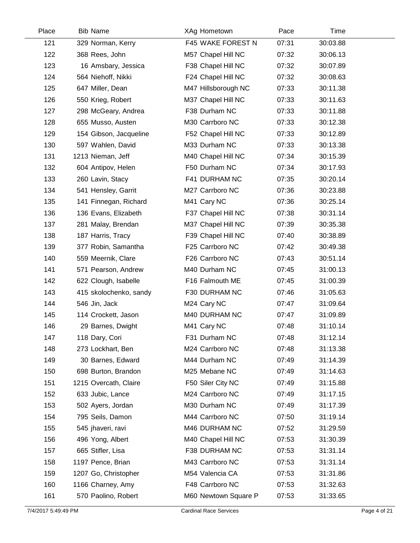| Place | <b>Bib Name</b>        | XAg Hometown         | Pace  | Time     |  |
|-------|------------------------|----------------------|-------|----------|--|
| 121   | 329 Norman, Kerry      | F45 WAKE FOREST N    | 07:31 | 30:03.88 |  |
| 122   | 368 Rees, John         | M57 Chapel Hill NC   | 07:32 | 30:06.13 |  |
| 123   | 16 Amsbary, Jessica    | F38 Chapel Hill NC   | 07:32 | 30:07.89 |  |
| 124   | 564 Niehoff, Nikki     | F24 Chapel Hill NC   | 07:32 | 30:08.63 |  |
| 125   | 647 Miller, Dean       | M47 Hillsborough NC  | 07:33 | 30:11.38 |  |
| 126   | 550 Krieg, Robert      | M37 Chapel Hill NC   | 07:33 | 30:11.63 |  |
| 127   | 298 McGeary, Andrea    | F38 Durham NC        | 07:33 | 30:11.88 |  |
| 128   | 655 Musso, Austen      | M30 Carrboro NC      | 07:33 | 30:12.38 |  |
| 129   | 154 Gibson, Jacqueline | F52 Chapel Hill NC   | 07:33 | 30:12.89 |  |
| 130   | 597 Wahlen, David      | M33 Durham NC        | 07:33 | 30:13.38 |  |
| 131   | 1213 Nieman, Jeff      | M40 Chapel Hill NC   | 07:34 | 30:15.39 |  |
| 132   | 604 Antipov, Helen     | F50 Durham NC        | 07:34 | 30:17.93 |  |
| 133   | 260 Lavin, Stacy       | F41 DURHAM NC        | 07:35 | 30:20.14 |  |
| 134   | 541 Hensley, Garrit    | M27 Carrboro NC      | 07:36 | 30:23.88 |  |
| 135   | 141 Finnegan, Richard  | M41 Cary NC          | 07:36 | 30:25.14 |  |
| 136   | 136 Evans, Elizabeth   | F37 Chapel Hill NC   | 07:38 | 30:31.14 |  |
| 137   | 281 Malay, Brendan     | M37 Chapel Hill NC   | 07:39 | 30:35.38 |  |
| 138   | 187 Harris, Tracy      | F39 Chapel Hill NC   | 07:40 | 30:38.89 |  |
| 139   | 377 Robin, Samantha    | F25 Carrboro NC      | 07:42 | 30:49.38 |  |
| 140   | 559 Meernik, Clare     | F26 Carrboro NC      | 07:43 | 30:51.14 |  |
| 141   | 571 Pearson, Andrew    | M40 Durham NC        | 07:45 | 31:00.13 |  |
| 142   | 622 Clough, Isabelle   | F16 Falmouth ME      | 07:45 | 31:00.39 |  |
| 143   | 415 skolochenko, sandy | F30 DURHAM NC        | 07:46 | 31:05.63 |  |
| 144   | 546 Jin, Jack          | M24 Cary NC          | 07:47 | 31:09.64 |  |
| 145   | 114 Crockett, Jason    | M40 DURHAM NC        | 07:47 | 31:09.89 |  |
| 146   | 29 Barnes, Dwight      | M41 Cary NC          | 07:48 | 31:10.14 |  |
| 147   | 118 Dary, Cori         | F31 Durham NC        | 07:48 | 31:12.14 |  |
| 148   | 273 Lockhart, Ben      | M24 Carrboro NC      | 07:48 | 31:13.38 |  |
| 149   | 30 Barnes, Edward      | M44 Durham NC        | 07:49 | 31:14.39 |  |
| 150   | 698 Burton, Brandon    | M25 Mebane NC        | 07:49 | 31:14.63 |  |
| 151   | 1215 Overcath, Claire  | F50 Siler City NC    | 07:49 | 31:15.88 |  |
| 152   | 633 Jubic, Lance       | M24 Carrboro NC      | 07:49 | 31:17.15 |  |
| 153   | 502 Ayers, Jordan      | M30 Durham NC        | 07:49 | 31:17.39 |  |
| 154   | 795 Seils, Damon       | M44 Carrboro NC      | 07:50 | 31:19.14 |  |
| 155   | 545 jhaveri, ravi      | M46 DURHAM NC        | 07:52 | 31:29.59 |  |
| 156   | 496 Yong, Albert       | M40 Chapel Hill NC   | 07:53 | 31:30.39 |  |
| 157   | 665 Stifler, Lisa      | F38 DURHAM NC        | 07:53 | 31:31.14 |  |
| 158   | 1197 Pence, Brian      | M43 Carrboro NC      | 07:53 | 31:31.14 |  |
| 159   | 1207 Go, Christopher   | M54 Valencia CA      | 07:53 | 31:31.86 |  |
| 160   | 1166 Charney, Amy      | F48 Carrboro NC      | 07:53 | 31:32.63 |  |
| 161   | 570 Paolino, Robert    | M60 Newtown Square P | 07:53 | 31:33.65 |  |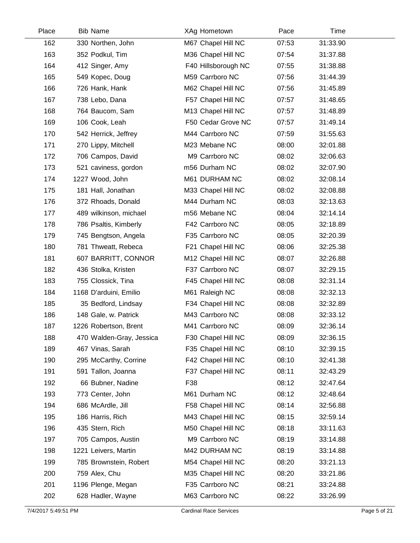| Place | <b>Bib Name</b>          | XAg Hometown        | Pace  | Time     |  |
|-------|--------------------------|---------------------|-------|----------|--|
| 162   | 330 Northen, John        | M67 Chapel Hill NC  | 07:53 | 31:33.90 |  |
| 163   | 352 Podkul, Tim          | M36 Chapel Hill NC  | 07:54 | 31:37.88 |  |
| 164   | 412 Singer, Amy          | F40 Hillsborough NC | 07:55 | 31:38.88 |  |
| 165   | 549 Kopec, Doug          | M59 Carrboro NC     | 07:56 | 31:44.39 |  |
| 166   | 726 Hank, Hank           | M62 Chapel Hill NC  | 07:56 | 31:45.89 |  |
| 167   | 738 Lebo, Dana           | F57 Chapel Hill NC  | 07:57 | 31:48.65 |  |
| 168   | 764 Baucom, Sam          | M13 Chapel Hill NC  | 07:57 | 31:48.89 |  |
| 169   | 106 Cook, Leah           | F50 Cedar Grove NC  | 07:57 | 31:49.14 |  |
| 170   | 542 Herrick, Jeffrey     | M44 Carrboro NC     | 07:59 | 31:55.63 |  |
| 171   | 270 Lippy, Mitchell      | M23 Mebane NC       | 08:00 | 32:01.88 |  |
| 172   | 706 Campos, David        | M9 Carrboro NC      | 08:02 | 32:06.63 |  |
| 173   | 521 caviness, gordon     | m56 Durham NC       | 08:02 | 32:07.90 |  |
| 174   | 1227 Wood, John          | M61 DURHAM NC       | 08:02 | 32:08.14 |  |
| 175   | 181 Hall, Jonathan       | M33 Chapel Hill NC  | 08:02 | 32:08.88 |  |
| 176   | 372 Rhoads, Donald       | M44 Durham NC       | 08:03 | 32:13.63 |  |
| 177   | 489 wilkinson, michael   | m56 Mebane NC       | 08:04 | 32:14.14 |  |
| 178   | 786 Psaltis, Kimberly    | F42 Carrboro NC     | 08:05 | 32:18.89 |  |
| 179   | 745 Bengtson, Angela     | F35 Carrboro NC     | 08:05 | 32:20.39 |  |
| 180   | 781 Thweatt, Rebeca      | F21 Chapel Hill NC  | 08:06 | 32:25.38 |  |
| 181   | 607 BARRITT, CONNOR      | M12 Chapel Hill NC  | 08:07 | 32:26.88 |  |
| 182   | 436 Stolka, Kristen      | F37 Carrboro NC     | 08:07 | 32:29.15 |  |
| 183   | 755 Clossick, Tina       | F45 Chapel Hill NC  | 08:08 | 32:31.14 |  |
| 184   | 1168 D'arduini, Emilio   | M61 Raleigh NC      | 08:08 | 32:32.13 |  |
| 185   | 35 Bedford, Lindsay      | F34 Chapel Hill NC  | 08:08 | 32:32.89 |  |
| 186   | 148 Gale, w. Patrick     | M43 Carrboro NC     | 08:08 | 32:33.12 |  |
| 187   | 1226 Robertson, Brent    | M41 Carrboro NC     | 08:09 | 32:36.14 |  |
| 188   | 470 Walden-Gray, Jessica | F30 Chapel Hill NC  | 08:09 | 32:36.15 |  |
| 189   | 467 Vinas, Sarah         | F35 Chapel Hill NC  | 08:10 | 32:39.15 |  |
| 190   | 295 McCarthy, Corrine    | F42 Chapel Hill NC  | 08:10 | 32:41.38 |  |
| 191   | 591 Tallon, Joanna       | F37 Chapel Hill NC  | 08:11 | 32:43.29 |  |
| 192   | 66 Bubner, Nadine        | F38                 | 08:12 | 32:47.64 |  |
| 193   | 773 Center, John         | M61 Durham NC       | 08:12 | 32:48.64 |  |
| 194   | 686 McArdle, Jill        | F58 Chapel Hill NC  | 08:14 | 32:56.88 |  |
| 195   | 186 Harris, Rich         | M43 Chapel Hill NC  | 08:15 | 32:59.14 |  |
| 196   | 435 Stern, Rich          | M50 Chapel Hill NC  | 08:18 | 33:11.63 |  |
| 197   | 705 Campos, Austin       | M9 Carrboro NC      | 08:19 | 33:14.88 |  |
| 198   | 1221 Leivers, Martin     | M42 DURHAM NC       | 08:19 | 33:14.88 |  |
| 199   | 785 Brownstein, Robert   | M54 Chapel Hill NC  | 08:20 | 33:21.13 |  |
| 200   | 759 Alex, Chu            | M35 Chapel Hill NC  | 08:20 | 33:21.86 |  |
| 201   | 1196 Plenge, Megan       | F35 Carrboro NC     | 08:21 | 33:24.88 |  |
| 202   | 628 Hadler, Wayne        | M63 Carrboro NC     | 08:22 | 33:26.99 |  |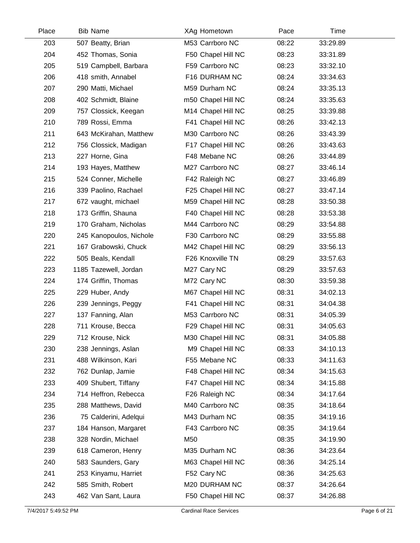| Place | <b>Bib Name</b>         | XAg Hometown       | Pace  | Time     |  |
|-------|-------------------------|--------------------|-------|----------|--|
| 203   | 507 Beatty, Brian       | M53 Carrboro NC    | 08:22 | 33:29.89 |  |
| 204   | 452 Thomas, Sonia       | F50 Chapel Hill NC | 08:23 | 33:31.89 |  |
| 205   | 519 Campbell, Barbara   | F59 Carrboro NC    | 08:23 | 33:32.10 |  |
| 206   | 418 smith, Annabel      | F16 DURHAM NC      | 08:24 | 33:34.63 |  |
| 207   | 290 Matti, Michael      | M59 Durham NC      | 08:24 | 33:35.13 |  |
| 208   | 402 Schmidt, Blaine     | m50 Chapel Hill NC | 08:24 | 33:35.63 |  |
| 209   | 757 Clossick, Keegan    | M14 Chapel Hill NC | 08:25 | 33:39.88 |  |
| 210   | 789 Rossi, Emma         | F41 Chapel Hill NC | 08:26 | 33:42.13 |  |
| 211   | 643 McKirahan, Matthew  | M30 Carrboro NC    | 08:26 | 33:43.39 |  |
| 212   | 756 Clossick, Madigan   | F17 Chapel Hill NC | 08:26 | 33:43.63 |  |
| 213   | 227 Horne, Gina         | F48 Mebane NC      | 08:26 | 33:44.89 |  |
| 214   | 193 Hayes, Matthew      | M27 Carrboro NC    | 08:27 | 33:46.14 |  |
| 215   | 524 Conner, Michelle    | F42 Raleigh NC     | 08:27 | 33:46.89 |  |
| 216   | 339 Paolino, Rachael    | F25 Chapel Hill NC | 08:27 | 33:47.14 |  |
| 217   | 672 vaught, michael     | M59 Chapel Hill NC | 08:28 | 33:50.38 |  |
| 218   | 173 Griffin, Shauna     | F40 Chapel Hill NC | 08:28 | 33:53.38 |  |
| 219   | 170 Graham, Nicholas    | M44 Carrboro NC    | 08:29 | 33:54.88 |  |
| 220   | 245 Kanopoulos, Nichole | F30 Carrboro NC    | 08:29 | 33:55.88 |  |
| 221   | 167 Grabowski, Chuck    | M42 Chapel Hill NC | 08:29 | 33:56.13 |  |
| 222   | 505 Beals, Kendall      | F26 Knoxville TN   | 08:29 | 33:57.63 |  |
| 223   | 1185 Tazewell, Jordan   | M27 Cary NC        | 08:29 | 33:57.63 |  |
| 224   | 174 Griffin, Thomas     | M72 Cary NC        | 08:30 | 33:59.38 |  |
| 225   | 229 Huber, Andy         | M67 Chapel Hill NC | 08:31 | 34:02.13 |  |
| 226   | 239 Jennings, Peggy     | F41 Chapel Hill NC | 08:31 | 34:04.38 |  |
| 227   | 137 Fanning, Alan       | M53 Carrboro NC    | 08:31 | 34:05.39 |  |
| 228   | 711 Krouse, Becca       | F29 Chapel Hill NC | 08:31 | 34:05.63 |  |
| 229   | 712 Krouse, Nick        | M30 Chapel Hill NC | 08:31 | 34:05.88 |  |
| 230   | 238 Jennings, Aslan     | M9 Chapel Hill NC  | 08:33 | 34:10.13 |  |
| 231   | 488 Wilkinson, Kari     | F55 Mebane NC      | 08:33 | 34:11.63 |  |
| 232   | 762 Dunlap, Jamie       | F48 Chapel Hill NC | 08:34 | 34:15.63 |  |
| 233   | 409 Shubert, Tiffany    | F47 Chapel Hill NC | 08:34 | 34:15.88 |  |
| 234   | 714 Heffron, Rebecca    | F26 Raleigh NC     | 08:34 | 34:17.64 |  |
| 235   | 288 Matthews, David     | M40 Carrboro NC    | 08:35 | 34:18.64 |  |
| 236   | 75 Calderini, Adelqui   | M43 Durham NC      | 08:35 | 34:19.16 |  |
| 237   | 184 Hanson, Margaret    | F43 Carrboro NC    | 08:35 | 34:19.64 |  |
| 238   | 328 Nordin, Michael     | M50                | 08:35 | 34:19.90 |  |
| 239   | 618 Cameron, Henry      | M35 Durham NC      | 08:36 | 34:23.64 |  |
| 240   | 583 Saunders, Gary      | M63 Chapel Hill NC | 08:36 | 34:25.14 |  |
| 241   | 253 Kinyamu, Harriet    | F52 Cary NC        | 08:36 | 34:25.63 |  |
| 242   | 585 Smith, Robert       | M20 DURHAM NC      | 08:37 | 34:26.64 |  |
| 243   | 462 Van Sant, Laura     | F50 Chapel Hill NC | 08:37 | 34:26.88 |  |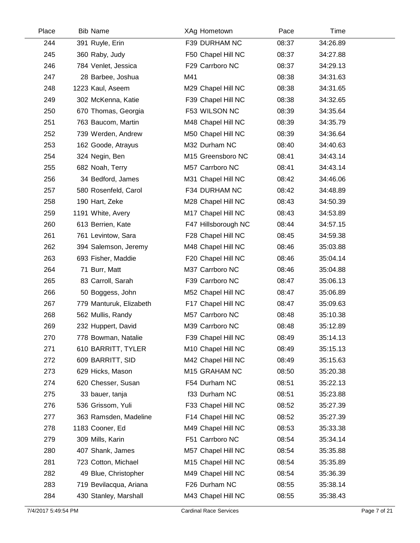| Place | <b>Bib Name</b>         | XAg Hometown        | Pace  | Time     |  |
|-------|-------------------------|---------------------|-------|----------|--|
| 244   | 391 Ruyle, Erin         | F39 DURHAM NC       | 08:37 | 34:26.89 |  |
| 245   | 360 Raby, Judy          | F50 Chapel Hill NC  | 08:37 | 34:27.88 |  |
| 246   | 784 Venlet, Jessica     | F29 Carrboro NC     | 08:37 | 34:29.13 |  |
| 247   | 28 Barbee, Joshua       | M41                 | 08:38 | 34:31.63 |  |
| 248   | 1223 Kaul, Aseem        | M29 Chapel Hill NC  | 08:38 | 34:31.65 |  |
| 249   | 302 McKenna, Katie      | F39 Chapel Hill NC  | 08:38 | 34:32.65 |  |
| 250   | 670 Thomas, Georgia     | F53 WILSON NC       | 08:39 | 34:35.64 |  |
| 251   | 763 Baucom, Martin      | M48 Chapel Hill NC  | 08:39 | 34:35.79 |  |
| 252   | 739 Werden, Andrew      | M50 Chapel Hill NC  | 08:39 | 34:36.64 |  |
| 253   | 162 Goode, Atrayus      | M32 Durham NC       | 08:40 | 34:40.63 |  |
| 254   | 324 Negin, Ben          | M15 Greensboro NC   | 08:41 | 34:43.14 |  |
| 255   | 682 Noah, Terry         | M57 Carrboro NC     | 08:41 | 34:43.14 |  |
| 256   | 34 Bedford, James       | M31 Chapel Hill NC  | 08:42 | 34:46.06 |  |
| 257   | 580 Rosenfeld, Carol    | F34 DURHAM NC       | 08:42 | 34:48.89 |  |
| 258   | 190 Hart, Zeke          | M28 Chapel Hill NC  | 08:43 | 34:50.39 |  |
| 259   | 1191 White, Avery       | M17 Chapel Hill NC  | 08:43 | 34:53.89 |  |
| 260   | 613 Berrien, Kate       | F47 Hillsborough NC | 08:44 | 34:57.15 |  |
| 261   | 761 Levintow, Sara      | F28 Chapel Hill NC  | 08:45 | 34:59.38 |  |
| 262   | 394 Salemson, Jeremy    | M48 Chapel Hill NC  | 08:46 | 35:03.88 |  |
| 263   | 693 Fisher, Maddie      | F20 Chapel Hill NC  | 08:46 | 35:04.14 |  |
| 264   | 71 Burr, Matt           | M37 Carrboro NC     | 08:46 | 35:04.88 |  |
| 265   | 83 Carroll, Sarah       | F39 Carrboro NC     | 08:47 | 35:06.13 |  |
| 266   | 50 Boggess, John        | M52 Chapel Hill NC  | 08:47 | 35:06.89 |  |
| 267   | 779 Manturuk, Elizabeth | F17 Chapel Hill NC  | 08:47 | 35:09.63 |  |
| 268   | 562 Mullis, Randy       | M57 Carrboro NC     | 08:48 | 35:10.38 |  |
| 269   | 232 Huppert, David      | M39 Carrboro NC     | 08:48 | 35:12.89 |  |
| 270   | 778 Bowman, Natalie     | F39 Chapel Hill NC  | 08:49 | 35:14.13 |  |
| 271   | 610 BARRITT, TYLER      | M10 Chapel Hill NC  | 08:49 | 35:15.13 |  |
| 272   | 609 BARRITT, SID        | M42 Chapel Hill NC  | 08:49 | 35:15.63 |  |
| 273   | 629 Hicks, Mason        | M15 GRAHAM NC       | 08:50 | 35:20.38 |  |
| 274   | 620 Chesser, Susan      | F54 Durham NC       | 08:51 | 35:22.13 |  |
| 275   | 33 bauer, tanja         | f33 Durham NC       | 08:51 | 35:23.88 |  |
| 276   | 536 Grissom, Yuli       | F33 Chapel Hill NC  | 08:52 | 35:27.39 |  |
| 277   | 363 Ramsden, Madeline   | F14 Chapel Hill NC  | 08:52 | 35:27.39 |  |
| 278   | 1183 Cooner, Ed         | M49 Chapel Hill NC  | 08:53 | 35:33.38 |  |
| 279   | 309 Mills, Karin        | F51 Carrboro NC     | 08:54 | 35:34.14 |  |
| 280   | 407 Shank, James        | M57 Chapel Hill NC  | 08:54 | 35:35.88 |  |
| 281   | 723 Cotton, Michael     | M15 Chapel Hill NC  | 08:54 | 35:35.89 |  |
| 282   | 49 Blue, Christopher    | M49 Chapel Hill NC  | 08:54 | 35:36.39 |  |
| 283   | 719 Bevilacqua, Ariana  | F26 Durham NC       | 08:55 | 35:38.14 |  |
| 284   | 430 Stanley, Marshall   | M43 Chapel Hill NC  | 08:55 | 35:38.43 |  |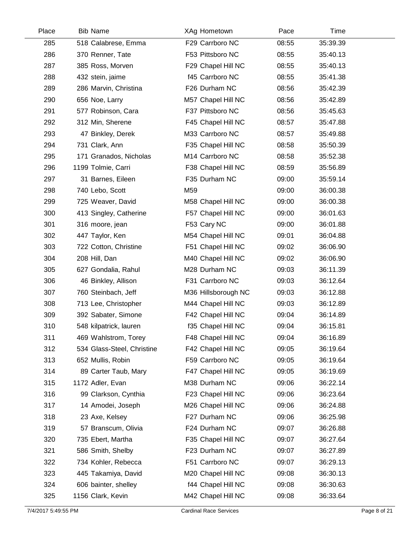| Place | <b>Bib Name</b>            | XAg Hometown        | Pace  | Time     |  |
|-------|----------------------------|---------------------|-------|----------|--|
| 285   | 518 Calabrese, Emma        | F29 Carrboro NC     | 08:55 | 35:39.39 |  |
| 286   | 370 Renner, Tate           | F53 Pittsboro NC    | 08:55 | 35:40.13 |  |
| 287   | 385 Ross, Morven           | F29 Chapel Hill NC  | 08:55 | 35:40.13 |  |
| 288   | 432 stein, jaime           | f45 Carrboro NC     | 08:55 | 35:41.38 |  |
| 289   | 286 Marvin, Christina      | F26 Durham NC       | 08:56 | 35:42.39 |  |
| 290   | 656 Noe, Larry             | M57 Chapel Hill NC  | 08:56 | 35:42.89 |  |
| 291   | 577 Robinson, Cara         | F37 Pittsboro NC    | 08:56 | 35:45.63 |  |
| 292   | 312 Min, Sherene           | F45 Chapel Hill NC  | 08:57 | 35:47.88 |  |
| 293   | 47 Binkley, Derek          | M33 Carrboro NC     | 08:57 | 35:49.88 |  |
| 294   | 731 Clark, Ann             | F35 Chapel Hill NC  | 08:58 | 35:50.39 |  |
| 295   | 171 Granados, Nicholas     | M14 Carrboro NC     | 08:58 | 35:52.38 |  |
| 296   | 1199 Tolmie, Carri         | F38 Chapel Hill NC  | 08:59 | 35:56.89 |  |
| 297   | 31 Barnes, Eileen          | F35 Durham NC       | 09:00 | 35:59.14 |  |
| 298   | 740 Lebo, Scott            | M59                 | 09:00 | 36:00.38 |  |
| 299   | 725 Weaver, David          | M58 Chapel Hill NC  | 09:00 | 36:00.38 |  |
| 300   | 413 Singley, Catherine     | F57 Chapel Hill NC  | 09:00 | 36:01.63 |  |
| 301   | 316 moore, jean            | F53 Cary NC         | 09:00 | 36:01.88 |  |
| 302   | 447 Taylor, Ken            | M54 Chapel Hill NC  | 09:01 | 36:04.88 |  |
| 303   | 722 Cotton, Christine      | F51 Chapel Hill NC  | 09:02 | 36:06.90 |  |
| 304   | 208 Hill, Dan              | M40 Chapel Hill NC  | 09:02 | 36:06.90 |  |
| 305   | 627 Gondalia, Rahul        | M28 Durham NC       | 09:03 | 36:11.39 |  |
| 306   | 46 Binkley, Allison        | F31 Carrboro NC     | 09:03 | 36:12.64 |  |
| 307   | 760 Steinbach, Jeff        | M36 Hillsborough NC | 09:03 | 36:12.88 |  |
| 308   | 713 Lee, Christopher       | M44 Chapel Hill NC  | 09:03 | 36:12.89 |  |
| 309   | 392 Sabater, Simone        | F42 Chapel Hill NC  | 09:04 | 36:14.89 |  |
| 310   | 548 kilpatrick, lauren     | f35 Chapel Hill NC  | 09:04 | 36:15.81 |  |
| 311   | 469 Wahlstrom, Torey       | F48 Chapel Hill NC  | 09:04 | 36:16.89 |  |
| 312   | 534 Glass-Steel, Christine | F42 Chapel Hill NC  | 09:05 | 36:19.64 |  |
| 313   | 652 Mullis, Robin          | F59 Carrboro NC     | 09:05 | 36:19.64 |  |
| 314   | 89 Carter Taub, Mary       | F47 Chapel Hill NC  | 09:05 | 36:19.69 |  |
| 315   | 1172 Adler, Evan           | M38 Durham NC       | 09:06 | 36:22.14 |  |
| 316   | 99 Clarkson, Cynthia       | F23 Chapel Hill NC  | 09:06 | 36:23.64 |  |
| 317   | 14 Amodei, Joseph          | M26 Chapel Hill NC  | 09:06 | 36:24.88 |  |
| 318   | 23 Axe, Kelsey             | F27 Durham NC       | 09:06 | 36:25.98 |  |
| 319   | 57 Branscum, Olivia        | F24 Durham NC       | 09:07 | 36:26.88 |  |
| 320   | 735 Ebert, Martha          | F35 Chapel Hill NC  | 09:07 | 36:27.64 |  |
| 321   | 586 Smith, Shelby          | F23 Durham NC       | 09:07 | 36:27.89 |  |
| 322   | 734 Kohler, Rebecca        | F51 Carrboro NC     | 09:07 | 36:29.13 |  |
| 323   | 445 Takamiya, David        | M20 Chapel Hill NC  | 09:08 | 36:30.13 |  |
| 324   | 606 bainter, shelley       | f44 Chapel Hill NC  | 09:08 | 36:30.63 |  |
| 325   | 1156 Clark, Kevin          | M42 Chapel Hill NC  | 09:08 | 36:33.64 |  |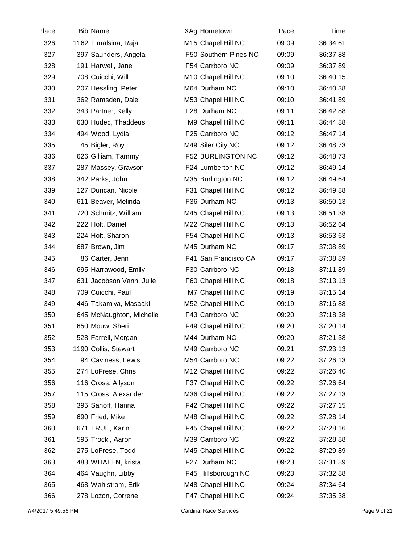| Place | <b>Bib Name</b>          | XAg Hometown             | Pace  | Time     |  |
|-------|--------------------------|--------------------------|-------|----------|--|
| 326   | 1162 Timalsina, Raja     | M15 Chapel Hill NC       | 09:09 | 36:34.61 |  |
| 327   | 397 Saunders, Angela     | F50 Southern Pines NC    | 09:09 | 36:37.88 |  |
| 328   | 191 Harwell, Jane        | F54 Carrboro NC          | 09:09 | 36:37.89 |  |
| 329   | 708 Cuicchi, Will        | M10 Chapel Hill NC       | 09:10 | 36:40.15 |  |
| 330   | 207 Hessling, Peter      | M64 Durham NC            | 09:10 | 36:40.38 |  |
| 331   | 362 Ramsden, Dale        | M53 Chapel Hill NC       | 09:10 | 36:41.89 |  |
| 332   | 343 Partner, Kelly       | F28 Durham NC            | 09:11 | 36:42.88 |  |
| 333   | 630 Hudec, Thaddeus      | M9 Chapel Hill NC        | 09:11 | 36:44.88 |  |
| 334   | 494 Wood, Lydia          | F25 Carrboro NC          | 09:12 | 36:47.14 |  |
| 335   | 45 Bigler, Roy           | M49 Siler City NC        | 09:12 | 36:48.73 |  |
| 336   | 626 Gilliam, Tammy       | <b>F52 BURLINGTON NC</b> | 09:12 | 36:48.73 |  |
| 337   | 287 Massey, Grayson      | F24 Lumberton NC         | 09:12 | 36:49.14 |  |
| 338   | 342 Parks, John          | M35 Burlington NC        | 09:12 | 36:49.64 |  |
| 339   | 127 Duncan, Nicole       | F31 Chapel Hill NC       | 09:12 | 36:49.88 |  |
| 340   | 611 Beaver, Melinda      | F36 Durham NC            | 09:13 | 36:50.13 |  |
| 341   | 720 Schmitz, William     | M45 Chapel Hill NC       | 09:13 | 36:51.38 |  |
| 342   | 222 Holt, Daniel         | M22 Chapel Hill NC       | 09:13 | 36:52.64 |  |
| 343   | 224 Holt, Sharon         | F54 Chapel Hill NC       | 09:13 | 36:53.63 |  |
| 344   | 687 Brown, Jim           | M45 Durham NC            | 09:17 | 37:08.89 |  |
| 345   | 86 Carter, Jenn          | F41 San Francisco CA     | 09:17 | 37:08.89 |  |
| 346   | 695 Harrawood, Emily     | F30 Carrboro NC          | 09:18 | 37:11.89 |  |
| 347   | 631 Jacobson Vann, Julie | F60 Chapel Hill NC       | 09:18 | 37:13.13 |  |
| 348   | 709 Cuicchi, Paul        | M7 Chapel Hill NC        | 09:19 | 37:15.14 |  |
| 349   | 446 Takamiya, Masaaki    | M52 Chapel Hill NC       | 09:19 | 37:16.88 |  |
| 350   | 645 McNaughton, Michelle | F43 Carrboro NC          | 09:20 | 37:18.38 |  |
| 351   | 650 Mouw, Sheri          | F49 Chapel Hill NC       | 09:20 | 37:20.14 |  |
| 352   | 528 Farrell, Morgan      | M44 Durham NC            | 09:20 | 37:21.38 |  |
| 353   | 1190 Collis, Stewart     | M49 Carrboro NC          | 09:21 | 37:23.13 |  |
| 354   | 94 Caviness, Lewis       | M54 Carrboro NC          | 09:22 | 37:26.13 |  |
| 355   | 274 LoFrese, Chris       | M12 Chapel Hill NC       | 09:22 | 37:26.40 |  |
| 356   | 116 Cross, Allyson       | F37 Chapel Hill NC       | 09:22 | 37:26.64 |  |
| 357   | 115 Cross, Alexander     | M36 Chapel Hill NC       | 09:22 | 37:27.13 |  |
| 358   | 395 Sanoff, Hanna        | F42 Chapel Hill NC       | 09:22 | 37:27.15 |  |
| 359   | 690 Fried, Mike          | M48 Chapel Hill NC       | 09:22 | 37:28.14 |  |
| 360   | 671 TRUE, Karin          | F45 Chapel Hill NC       | 09:22 | 37:28.16 |  |
| 361   | 595 Trocki, Aaron        | M39 Carrboro NC          | 09:22 | 37:28.88 |  |
| 362   | 275 LoFrese, Todd        | M45 Chapel Hill NC       | 09:22 | 37:29.89 |  |
| 363   | 483 WHALEN, krista       | F27 Durham NC            | 09:23 | 37:31.89 |  |
| 364   | 464 Vaughn, Libby        | F45 Hillsborough NC      | 09:23 | 37:32.88 |  |
| 365   | 468 Wahlstrom, Erik      | M48 Chapel Hill NC       | 09:24 | 37:34.64 |  |
| 366   | 278 Lozon, Correne       | F47 Chapel Hill NC       | 09:24 | 37:35.38 |  |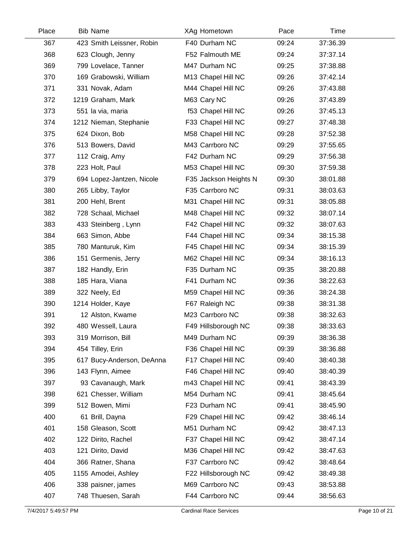| Place | <b>Bib Name</b>           | XAg Hometown          | Pace  | Time     |  |
|-------|---------------------------|-----------------------|-------|----------|--|
| 367   | 423 Smith Leissner, Robin | F40 Durham NC         | 09:24 | 37:36.39 |  |
| 368   | 623 Clough, Jenny         | F52 Falmouth ME       | 09:24 | 37:37.14 |  |
| 369   | 799 Lovelace, Tanner      | M47 Durham NC         | 09:25 | 37:38.88 |  |
| 370   | 169 Grabowski, William    | M13 Chapel Hill NC    | 09:26 | 37:42.14 |  |
| 371   | 331 Novak, Adam           | M44 Chapel Hill NC    | 09:26 | 37:43.88 |  |
| 372   | 1219 Graham, Mark         | M63 Cary NC           | 09:26 | 37:43.89 |  |
| 373   | 551 la via, maria         | f53 Chapel Hill NC    | 09:26 | 37:45.13 |  |
| 374   | 1212 Nieman, Stephanie    | F33 Chapel Hill NC    | 09:27 | 37:48.38 |  |
| 375   | 624 Dixon, Bob            | M58 Chapel Hill NC    | 09:28 | 37:52.38 |  |
| 376   | 513 Bowers, David         | M43 Carrboro NC       | 09:29 | 37:55.65 |  |
| 377   | 112 Craig, Amy            | F42 Durham NC         | 09:29 | 37:56.38 |  |
| 378   | 223 Holt, Paul            | M53 Chapel Hill NC    | 09:30 | 37:59.38 |  |
| 379   | 694 Lopez-Jantzen, Nicole | F35 Jackson Heights N | 09:30 | 38:01.88 |  |
| 380   | 265 Libby, Taylor         | F35 Carrboro NC       | 09:31 | 38:03.63 |  |
| 381   | 200 Hehl, Brent           | M31 Chapel Hill NC    | 09:31 | 38:05.88 |  |
| 382   | 728 Schaal, Michael       | M48 Chapel Hill NC    | 09:32 | 38:07.14 |  |
| 383   | 433 Steinberg, Lynn       | F42 Chapel Hill NC    | 09:32 | 38:07.63 |  |
| 384   | 663 Simon, Abbe           | F44 Chapel Hill NC    | 09:34 | 38:15.38 |  |
| 385   | 780 Manturuk, Kim         | F45 Chapel Hill NC    | 09:34 | 38:15.39 |  |
| 386   | 151 Germenis, Jerry       | M62 Chapel Hill NC    | 09:34 | 38:16.13 |  |
| 387   | 182 Handly, Erin          | F35 Durham NC         | 09:35 | 38:20.88 |  |
| 388   | 185 Hara, Viana           | F41 Durham NC         | 09:36 | 38:22.63 |  |
| 389   | 322 Neely, Ed             | M59 Chapel Hill NC    | 09:36 | 38:24.38 |  |
| 390   | 1214 Holder, Kaye         | F67 Raleigh NC        | 09:38 | 38:31.38 |  |
| 391   | 12 Alston, Kwame          | M23 Carrboro NC       | 09:38 | 38:32.63 |  |
| 392   | 480 Wessell, Laura        | F49 Hillsborough NC   | 09:38 | 38:33.63 |  |
| 393   | 319 Morrison, Bill        | M49 Durham NC         | 09:39 | 38:36.38 |  |
| 394   | 454 Tilley, Erin          | F36 Chapel Hill NC    | 09:39 | 38:36.88 |  |
| 395   | 617 Bucy-Anderson, DeAnna | F17 Chapel Hill NC    | 09:40 | 38:40.38 |  |
| 396   | 143 Flynn, Aimee          | F46 Chapel Hill NC    | 09:40 | 38:40.39 |  |
| 397   | 93 Cavanaugh, Mark        | m43 Chapel Hill NC    | 09:41 | 38:43.39 |  |
| 398   | 621 Chesser, William      | M54 Durham NC         | 09:41 | 38:45.64 |  |
| 399   | 512 Bowen, Mimi           | F23 Durham NC         | 09:41 | 38:45.90 |  |
| 400   | 61 Brill, Dayna           | F29 Chapel Hill NC    | 09:42 | 38:46.14 |  |
| 401   | 158 Gleason, Scott        | M51 Durham NC         | 09:42 | 38:47.13 |  |
| 402   | 122 Dirito, Rachel        | F37 Chapel Hill NC    | 09:42 | 38:47.14 |  |
| 403   | 121 Dirito, David         | M36 Chapel Hill NC    | 09:42 | 38:47.63 |  |
| 404   | 366 Ratner, Shana         | F37 Carrboro NC       | 09:42 | 38:48.64 |  |
| 405   | 1155 Amodei, Ashley       | F22 Hillsborough NC   | 09:42 | 38:49.38 |  |
| 406   | 338 paisner, james        | M69 Carrboro NC       | 09:43 | 38:53.88 |  |
| 407   | 748 Thuesen, Sarah        | F44 Carrboro NC       | 09:44 | 38:56.63 |  |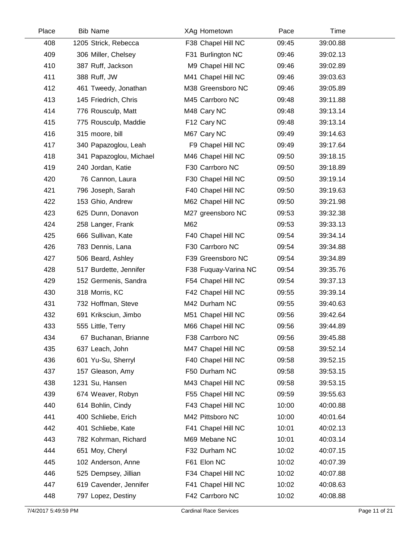| Place | <b>Bib Name</b>         | XAg Hometown         | Pace  | Time     |  |
|-------|-------------------------|----------------------|-------|----------|--|
| 408   | 1205 Strick, Rebecca    | F38 Chapel Hill NC   | 09:45 | 39:00.88 |  |
| 409   | 306 Miller, Chelsey     | F31 Burlington NC    | 09:46 | 39:02.13 |  |
| 410   | 387 Ruff, Jackson       | M9 Chapel Hill NC    | 09:46 | 39:02.89 |  |
| 411   | 388 Ruff, JW            | M41 Chapel Hill NC   | 09:46 | 39:03.63 |  |
| 412   | 461 Tweedy, Jonathan    | M38 Greensboro NC    | 09:46 | 39:05.89 |  |
| 413   | 145 Friedrich, Chris    | M45 Carrboro NC      | 09:48 | 39:11.88 |  |
| 414   | 776 Rousculp, Matt      | M48 Cary NC          | 09:48 | 39:13.14 |  |
| 415   | 775 Rousculp, Maddie    | F12 Cary NC          | 09:48 | 39:13.14 |  |
| 416   | 315 moore, bill         | M67 Cary NC          | 09:49 | 39:14.63 |  |
| 417   | 340 Papazoglou, Leah    | F9 Chapel Hill NC    | 09:49 | 39:17.64 |  |
| 418   | 341 Papazoglou, Michael | M46 Chapel Hill NC   | 09:50 | 39:18.15 |  |
| 419   | 240 Jordan, Katie       | F30 Carrboro NC      | 09:50 | 39:18.89 |  |
| 420   | 76 Cannon, Laura        | F30 Chapel Hill NC   | 09:50 | 39:19.14 |  |
| 421   | 796 Joseph, Sarah       | F40 Chapel Hill NC   | 09:50 | 39:19.63 |  |
| 422   | 153 Ghio, Andrew        | M62 Chapel Hill NC   | 09:50 | 39:21.98 |  |
| 423   | 625 Dunn, Donavon       | M27 greensboro NC    | 09:53 | 39:32.38 |  |
| 424   | 258 Langer, Frank       | M62                  | 09:53 | 39:33.13 |  |
| 425   | 666 Sullivan, Kate      | F40 Chapel Hill NC   | 09:54 | 39:34.14 |  |
| 426   | 783 Dennis, Lana        | F30 Carrboro NC      | 09:54 | 39:34.88 |  |
| 427   | 506 Beard, Ashley       | F39 Greensboro NC    | 09:54 | 39:34.89 |  |
| 428   | 517 Burdette, Jennifer  | F38 Fuquay-Varina NC | 09:54 | 39:35.76 |  |
| 429   | 152 Germenis, Sandra    | F54 Chapel Hill NC   | 09:54 | 39:37.13 |  |
| 430   | 318 Morris, KC          | F42 Chapel Hill NC   | 09:55 | 39:39.14 |  |
| 431   | 732 Hoffman, Steve      | M42 Durham NC        | 09:55 | 39:40.63 |  |
| 432   | 691 Kriksciun, Jimbo    | M51 Chapel Hill NC   | 09:56 | 39:42.64 |  |
| 433   | 555 Little, Terry       | M66 Chapel Hill NC   | 09:56 | 39:44.89 |  |
| 434   | 67 Buchanan, Brianne    | F38 Carrboro NC      | 09:56 | 39:45.88 |  |
| 435   | 637 Leach, John         | M47 Chapel Hill NC   | 09:58 | 39:52.14 |  |
| 436   | 601 Yu-Su, Sherryl      | F40 Chapel Hill NC   | 09:58 | 39:52.15 |  |
| 437   | 157 Gleason, Amy        | F50 Durham NC        | 09:58 | 39:53.15 |  |
| 438   | 1231 Su, Hansen         | M43 Chapel Hill NC   | 09:58 | 39:53.15 |  |
| 439   | 674 Weaver, Robyn       | F55 Chapel Hill NC   | 09:59 | 39:55.63 |  |
| 440   | 614 Bohlin, Cindy       | F43 Chapel Hill NC   | 10:00 | 40:00.88 |  |
| 441   | 400 Schliebe, Erich     | M42 Pittsboro NC     | 10:00 | 40:01.64 |  |
| 442   | 401 Schliebe, Kate      | F41 Chapel Hill NC   | 10:01 | 40:02.13 |  |
| 443   | 782 Kohrman, Richard    | M69 Mebane NC        | 10:01 | 40:03.14 |  |
| 444   | 651 Moy, Cheryl         | F32 Durham NC        | 10:02 | 40:07.15 |  |
| 445   | 102 Anderson, Anne      | F61 Elon NC          | 10:02 | 40:07.39 |  |
| 446   | 525 Dempsey, Jillian    | F34 Chapel Hill NC   | 10:02 | 40:07.88 |  |
| 447   | 619 Cavender, Jennifer  | F41 Chapel Hill NC   | 10:02 | 40:08.63 |  |
| 448   | 797 Lopez, Destiny      | F42 Carrboro NC      | 10:02 | 40:08.88 |  |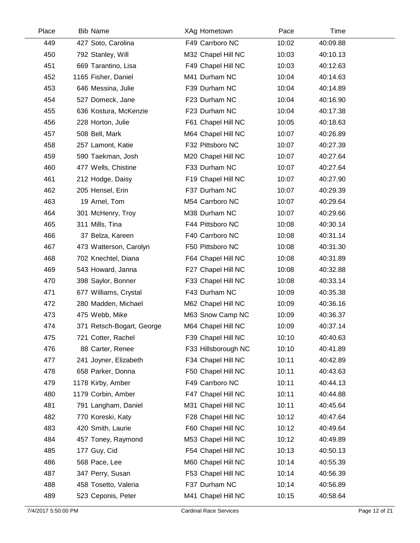| Place | <b>Bib Name</b>           | XAg Hometown        | Pace  | Time     |  |
|-------|---------------------------|---------------------|-------|----------|--|
| 449   | 427 Soto, Carolina        | F49 Carrboro NC     | 10:02 | 40:09.88 |  |
| 450   | 792 Stanley, Will         | M32 Chapel Hill NC  | 10:03 | 40:10.13 |  |
| 451   | 669 Tarantino, Lisa       | F49 Chapel Hill NC  | 10:03 | 40:12.63 |  |
| 452   | 1165 Fisher, Daniel       | M41 Durham NC       | 10:04 | 40:14.63 |  |
| 453   | 646 Messina, Julie        | F39 Durham NC       | 10:04 | 40:14.89 |  |
| 454   | 527 Domeck, Jane          | F23 Durham NC       | 10:04 | 40:16.90 |  |
| 455   | 636 Kostura, McKenzie     | F23 Durham NC       | 10:04 | 40:17.38 |  |
| 456   | 228 Horton, Julie         | F61 Chapel Hill NC  | 10:05 | 40:18.63 |  |
| 457   | 508 Bell, Mark            | M64 Chapel Hill NC  | 10:07 | 40:26.89 |  |
| 458   | 257 Lamont, Katie         | F32 Pittsboro NC    | 10:07 | 40:27.39 |  |
| 459   | 590 Taekman, Josh         | M20 Chapel Hill NC  | 10:07 | 40:27.64 |  |
| 460   | 477 Wells, Chistine       | F33 Durham NC       | 10:07 | 40:27.64 |  |
| 461   | 212 Hodge, Daisy          | F19 Chapel Hill NC  | 10:07 | 40:27.90 |  |
| 462   | 205 Hensel, Erin          | F37 Durham NC       | 10:07 | 40:29.39 |  |
| 463   | 19 Arnel, Tom             | M54 Carrboro NC     | 10:07 | 40:29.64 |  |
| 464   | 301 McHenry, Troy         | M38 Durham NC       | 10:07 | 40:29.66 |  |
| 465   | 311 Mills, Tina           | F44 Pittsboro NC    | 10:08 | 40:30.14 |  |
| 466   | 37 Belza, Kareen          | F40 Carrboro NC     | 10:08 | 40:31.14 |  |
| 467   | 473 Watterson, Carolyn    | F50 Pittsboro NC    | 10:08 | 40:31.30 |  |
| 468   | 702 Knechtel, Diana       | F64 Chapel Hill NC  | 10:08 | 40:31.89 |  |
| 469   | 543 Howard, Janna         | F27 Chapel Hill NC  | 10:08 | 40:32.88 |  |
| 470   | 398 Saylor, Bonner        | F33 Chapel Hill NC  | 10:08 | 40:33.14 |  |
| 471   | 677 Williams, Crystal     | F43 Durham NC       | 10:09 | 40:35.38 |  |
| 472   | 280 Madden, Michael       | M62 Chapel Hill NC  | 10:09 | 40:36.16 |  |
| 473   | 475 Webb, Mike            | M63 Snow Camp NC    | 10:09 | 40:36.37 |  |
| 474   | 371 Retsch-Bogart, George | M64 Chapel Hill NC  | 10:09 | 40:37.14 |  |
| 475   | 721 Cotter, Rachel        | F39 Chapel Hill NC  | 10:10 | 40:40.63 |  |
| 476   | 88 Carter, Renee          | F33 Hillsborough NC | 10:10 | 40:41.89 |  |
| 477   | 241 Joyner, Elizabeth     | F34 Chapel Hill NC  | 10:11 | 40:42.89 |  |
| 478   | 658 Parker, Donna         | F50 Chapel Hill NC  | 10:11 | 40:43.63 |  |
| 479   | 1178 Kirby, Amber         | F49 Carrboro NC     | 10:11 | 40:44.13 |  |
| 480   | 1179 Corbin, Amber        | F47 Chapel Hill NC  | 10:11 | 40:44.88 |  |
| 481   | 791 Langham, Daniel       | M31 Chapel Hill NC  | 10:11 | 40:45.64 |  |
| 482   | 770 Koreski, Katy         | F28 Chapel Hill NC  | 10:12 | 40:47.64 |  |
| 483   | 420 Smith, Laurie         | F60 Chapel Hill NC  | 10:12 | 40:49.64 |  |
| 484   | 457 Toney, Raymond        | M53 Chapel Hill NC  | 10:12 | 40:49.89 |  |
| 485   | 177 Guy, Cid              | F54 Chapel Hill NC  | 10:13 | 40:50.13 |  |
| 486   | 568 Pace, Lee             | M60 Chapel Hill NC  | 10:14 | 40:55.39 |  |
| 487   | 347 Perry, Susan          | F53 Chapel Hill NC  | 10:14 | 40:56.39 |  |
| 488   | 458 Tosetto, Valeria      | F37 Durham NC       | 10:14 | 40:56.89 |  |
| 489   | 523 Ceponis, Peter        | M41 Chapel Hill NC  | 10:15 | 40:58.64 |  |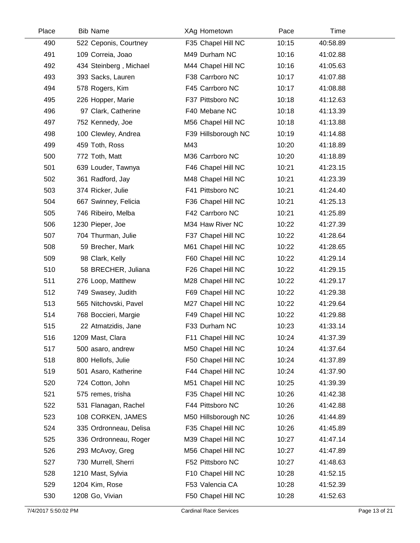| Place | <b>Bib Name</b>        | XAg Hometown        | Pace  | <b>Time</b> |  |
|-------|------------------------|---------------------|-------|-------------|--|
| 490   | 522 Ceponis, Courtney  | F35 Chapel Hill NC  | 10:15 | 40:58.89    |  |
| 491   | 109 Correia, Joao      | M49 Durham NC       | 10:16 | 41:02.88    |  |
| 492   | 434 Steinberg, Michael | M44 Chapel Hill NC  | 10:16 | 41:05.63    |  |
| 493   | 393 Sacks, Lauren      | F38 Carrboro NC     | 10:17 | 41:07.88    |  |
| 494   | 578 Rogers, Kim        | F45 Carrboro NC     | 10:17 | 41:08.88    |  |
| 495   | 226 Hopper, Marie      | F37 Pittsboro NC    | 10:18 | 41:12.63    |  |
| 496   | 97 Clark, Catherine    | F40 Mebane NC       | 10:18 | 41:13.39    |  |
| 497   | 752 Kennedy, Joe       | M56 Chapel Hill NC  | 10:18 | 41:13.88    |  |
| 498   | 100 Clewley, Andrea    | F39 Hillsborough NC | 10:19 | 41:14.88    |  |
| 499   | 459 Toth, Ross         | M43                 | 10:20 | 41:18.89    |  |
| 500   | 772 Toth, Matt         | M36 Carrboro NC     | 10:20 | 41:18.89    |  |
| 501   | 639 Louder, Tawnya     | F46 Chapel Hill NC  | 10:21 | 41:23.15    |  |
| 502   | 361 Radford, Jay       | M48 Chapel Hill NC  | 10:21 | 41:23.39    |  |
| 503   | 374 Ricker, Julie      | F41 Pittsboro NC    | 10:21 | 41:24.40    |  |
| 504   | 667 Swinney, Felicia   | F36 Chapel Hill NC  | 10:21 | 41:25.13    |  |
| 505   | 746 Ribeiro, Melba     | F42 Carrboro NC     | 10:21 | 41:25.89    |  |
| 506   | 1230 Pieper, Joe       | M34 Haw River NC    | 10:22 | 41:27.39    |  |
| 507   | 704 Thurman, Julie     | F37 Chapel Hill NC  | 10:22 | 41:28.64    |  |
| 508   | 59 Brecher, Mark       | M61 Chapel Hill NC  | 10:22 | 41:28.65    |  |
| 509   | 98 Clark, Kelly        | F60 Chapel Hill NC  | 10:22 | 41:29.14    |  |
| 510   | 58 BRECHER, Juliana    | F26 Chapel Hill NC  | 10:22 | 41:29.15    |  |
| 511   | 276 Loop, Matthew      | M28 Chapel Hill NC  | 10:22 | 41:29.17    |  |
| 512   | 749 Swasey, Judith     | F69 Chapel Hill NC  | 10:22 | 41:29.38    |  |
| 513   | 565 Nitchovski, Pavel  | M27 Chapel Hill NC  | 10:22 | 41:29.64    |  |
| 514   | 768 Boccieri, Margie   | F49 Chapel Hill NC  | 10:22 | 41:29.88    |  |
| 515   | 22 Atmatzidis, Jane    | F33 Durham NC       | 10:23 | 41:33.14    |  |
| 516   | 1209 Mast, Clara       | F11 Chapel Hill NC  | 10:24 | 41:37.39    |  |
| 517   | 500 asaro, andrew      | M50 Chapel Hill NC  | 10:24 | 41:37.64    |  |
| 518   | 800 Hellofs, Julie     | F50 Chapel Hill NC  | 10:24 | 41:37.89    |  |
| 519   | 501 Asaro, Katherine   | F44 Chapel Hill NC  | 10:24 | 41:37.90    |  |
| 520   | 724 Cotton, John       | M51 Chapel Hill NC  | 10:25 | 41:39.39    |  |
| 521   | 575 remes, trisha      | F35 Chapel Hill NC  | 10:26 | 41:42.38    |  |
| 522   | 531 Flanagan, Rachel   | F44 Pittsboro NC    | 10:26 | 41:42.88    |  |
| 523   | 108 CORKEN, JAMES      | M50 Hillsborough NC | 10:26 | 41:44.89    |  |
| 524   | 335 Ordronneau, Delisa | F35 Chapel Hill NC  | 10:26 | 41:45.89    |  |
| 525   | 336 Ordronneau, Roger  | M39 Chapel Hill NC  | 10:27 | 41:47.14    |  |
| 526   | 293 McAvoy, Greg       | M56 Chapel Hill NC  | 10:27 | 41:47.89    |  |
| 527   | 730 Murrell, Sherri    | F52 Pittsboro NC    | 10:27 | 41:48.63    |  |
| 528   | 1210 Mast, Sylvia      | F10 Chapel Hill NC  | 10:28 | 41:52.15    |  |
| 529   | 1204 Kim, Rose         | F53 Valencia CA     | 10:28 | 41:52.39    |  |
| 530   | 1208 Go, Vivian        | F50 Chapel Hill NC  | 10:28 | 41:52.63    |  |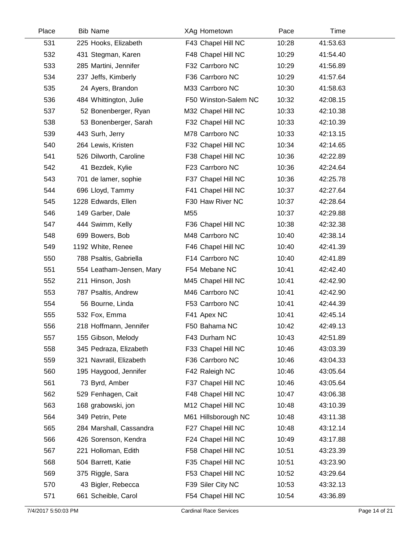| Place | <b>Bib Name</b>          | XAg Hometown         | Pace  | Time     |  |
|-------|--------------------------|----------------------|-------|----------|--|
| 531   | 225 Hooks, Elizabeth     | F43 Chapel Hill NC   | 10:28 | 41:53.63 |  |
| 532   | 431 Stegman, Karen       | F48 Chapel Hill NC   | 10:29 | 41:54.40 |  |
| 533   | 285 Martini, Jennifer    | F32 Carrboro NC      | 10:29 | 41:56.89 |  |
| 534   | 237 Jeffs, Kimberly      | F36 Carrboro NC      | 10:29 | 41:57.64 |  |
| 535   | 24 Ayers, Brandon        | M33 Carrboro NC      | 10:30 | 41:58.63 |  |
| 536   | 484 Whittington, Julie   | F50 Winston-Salem NC | 10:32 | 42:08.15 |  |
| 537   | 52 Bonenberger, Ryan     | M32 Chapel Hill NC   | 10:33 | 42:10.38 |  |
| 538   | 53 Bonenberger, Sarah    | F32 Chapel Hill NC   | 10:33 | 42:10.39 |  |
| 539   | 443 Surh, Jerry          | M78 Carrboro NC      | 10:33 | 42:13.15 |  |
| 540   | 264 Lewis, Kristen       | F32 Chapel Hill NC   | 10:34 | 42:14.65 |  |
| 541   | 526 Dilworth, Caroline   | F38 Chapel Hill NC   | 10:36 | 42:22.89 |  |
| 542   | 41 Bezdek, Kylie         | F23 Carrboro NC      | 10:36 | 42:24.64 |  |
| 543   | 701 de lamer, sophie     | F37 Chapel Hill NC   | 10:36 | 42:25.78 |  |
| 544   | 696 Lloyd, Tammy         | F41 Chapel Hill NC   | 10:37 | 42:27.64 |  |
| 545   | 1228 Edwards, Ellen      | F30 Haw River NC     | 10:37 | 42:28.64 |  |
| 546   | 149 Garber, Dale         | M55                  | 10:37 | 42:29.88 |  |
| 547   | 444 Swimm, Kelly         | F36 Chapel Hill NC   | 10:38 | 42:32.38 |  |
| 548   | 699 Bowers, Bob          | M48 Carrboro NC      | 10:40 | 42:38.14 |  |
| 549   | 1192 White, Renee        | F46 Chapel Hill NC   | 10:40 | 42:41.39 |  |
| 550   | 788 Psaltis, Gabriella   | F14 Carrboro NC      | 10:40 | 42:41.89 |  |
| 551   | 554 Leatham-Jensen, Mary | F54 Mebane NC        | 10:41 | 42:42.40 |  |
| 552   | 211 Hinson, Josh         | M45 Chapel Hill NC   | 10:41 | 42:42.90 |  |
| 553   | 787 Psaltis, Andrew      | M46 Carrboro NC      | 10:41 | 42:42.90 |  |
| 554   | 56 Bourne, Linda         | F53 Carrboro NC      | 10:41 | 42:44.39 |  |
| 555   | 532 Fox, Emma            | F41 Apex NC          | 10:41 | 42:45.14 |  |
| 556   | 218 Hoffmann, Jennifer   | F50 Bahama NC        | 10:42 | 42:49.13 |  |
| 557   | 155 Gibson, Melody       | F43 Durham NC        | 10:43 | 42:51.89 |  |
| 558   | 345 Pedraza, Elizabeth   | F33 Chapel Hill NC   | 10:46 | 43:03.39 |  |
| 559   | 321 Navratil, Elizabeth  | F36 Carrboro NC      | 10:46 | 43:04.33 |  |
| 560   | 195 Haygood, Jennifer    | F42 Raleigh NC       | 10:46 | 43:05.64 |  |
| 561   | 73 Byrd, Amber           | F37 Chapel Hill NC   | 10:46 | 43:05.64 |  |
| 562   | 529 Fenhagen, Cait       | F48 Chapel Hill NC   | 10:47 | 43:06.38 |  |
| 563   | 168 grabowski, jon       | M12 Chapel Hill NC   | 10:48 | 43:10.39 |  |
| 564   | 349 Petrin, Pete         | M61 Hillsborough NC  | 10:48 | 43:11.38 |  |
| 565   | 284 Marshall, Cassandra  | F27 Chapel Hill NC   | 10:48 | 43:12.14 |  |
| 566   | 426 Sorenson, Kendra     | F24 Chapel Hill NC   | 10:49 | 43:17.88 |  |
| 567   | 221 Holloman, Edith      | F58 Chapel Hill NC   | 10:51 | 43:23.39 |  |
| 568   | 504 Barrett, Katie       | F35 Chapel Hill NC   | 10:51 | 43:23.90 |  |
| 569   | 375 Riggle, Sara         | F53 Chapel Hill NC   | 10:52 | 43:29.64 |  |
| 570   | 43 Bigler, Rebecca       | F39 Siler City NC    | 10:53 | 43:32.13 |  |
| 571   | 661 Scheible, Carol      | F54 Chapel Hill NC   | 10:54 | 43:36.89 |  |
|       |                          |                      |       |          |  |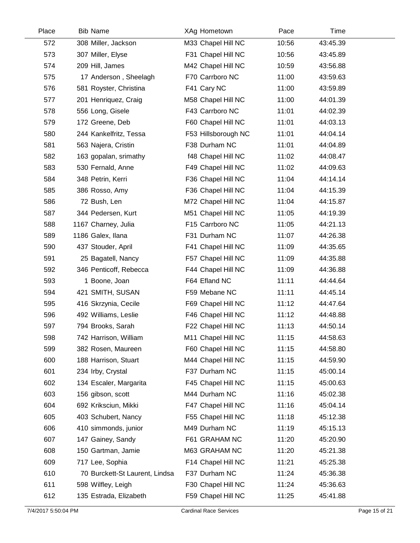| Place | <b>Bib Name</b>                | XAg Hometown        | Pace  | Time     |  |
|-------|--------------------------------|---------------------|-------|----------|--|
| 572   | 308 Miller, Jackson            | M33 Chapel Hill NC  | 10:56 | 43:45.39 |  |
| 573   | 307 Miller, Elyse              | F31 Chapel Hill NC  | 10:56 | 43:45.89 |  |
| 574   | 209 Hill, James                | M42 Chapel Hill NC  | 10:59 | 43:56.88 |  |
| 575   | 17 Anderson, Sheelagh          | F70 Carrboro NC     | 11:00 | 43:59.63 |  |
| 576   | 581 Royster, Christina         | F41 Cary NC         | 11:00 | 43:59.89 |  |
| 577   | 201 Henriquez, Craig           | M58 Chapel Hill NC  | 11:00 | 44:01.39 |  |
| 578   | 556 Long, Gisele               | F43 Carrboro NC     | 11:01 | 44:02.39 |  |
| 579   | 172 Greene, Deb                | F60 Chapel Hill NC  | 11:01 | 44:03.13 |  |
| 580   | 244 Kankelfritz, Tessa         | F53 Hillsborough NC | 11:01 | 44:04.14 |  |
| 581   | 563 Najera, Cristin            | F38 Durham NC       | 11:01 | 44:04.89 |  |
| 582   | 163 gopalan, srimathy          | f48 Chapel Hill NC  | 11:02 | 44:08.47 |  |
| 583   | 530 Fernald, Anne              | F49 Chapel Hill NC  | 11:02 | 44:09.63 |  |
| 584   | 348 Petrin, Kerri              | F36 Chapel Hill NC  | 11:04 | 44:14.14 |  |
| 585   | 386 Rosso, Amy                 | F36 Chapel Hill NC  | 11:04 | 44:15.39 |  |
| 586   | 72 Bush, Len                   | M72 Chapel Hill NC  | 11:04 | 44:15.87 |  |
| 587   | 344 Pedersen, Kurt             | M51 Chapel Hill NC  | 11:05 | 44:19.39 |  |
| 588   | 1167 Charney, Julia            | F15 Carrboro NC     | 11:05 | 44:21.13 |  |
| 589   | 1186 Galex, Ilana              | F31 Durham NC       | 11:07 | 44:26.38 |  |
| 590   | 437 Stouder, April             | F41 Chapel Hill NC  | 11:09 | 44:35.65 |  |
| 591   | 25 Bagatell, Nancy             | F57 Chapel Hill NC  | 11:09 | 44:35.88 |  |
| 592   | 346 Penticoff, Rebecca         | F44 Chapel Hill NC  | 11:09 | 44:36.88 |  |
| 593   | 1 Boone, Joan                  | F64 Efland NC       | 11:11 | 44:44.64 |  |
| 594   | 421 SMITH, SUSAN               | F59 Mebane NC       | 11:11 | 44:45.14 |  |
| 595   | 416 Skrzynia, Cecile           | F69 Chapel Hill NC  | 11:12 | 44:47.64 |  |
| 596   | 492 Williams, Leslie           | F46 Chapel Hill NC  | 11:12 | 44:48.88 |  |
| 597   | 794 Brooks, Sarah              | F22 Chapel Hill NC  | 11:13 | 44:50.14 |  |
| 598   | 742 Harrison, William          | M11 Chapel Hill NC  | 11:15 | 44:58.63 |  |
| 599   | 382 Rosen, Maureen             | F60 Chapel Hill NC  | 11:15 | 44:58.80 |  |
| 600   | 188 Harrison, Stuart           | M44 Chapel Hill NC  | 11:15 | 44:59.90 |  |
| 601   | 234 Irby, Crystal              | F37 Durham NC       | 11:15 | 45:00.14 |  |
| 602   | 134 Escaler, Margarita         | F45 Chapel Hill NC  | 11:15 | 45:00.63 |  |
| 603   | 156 gibson, scott              | M44 Durham NC       | 11:16 | 45:02.38 |  |
| 604   | 692 Kriksciun, Mikki           | F47 Chapel Hill NC  | 11:16 | 45:04.14 |  |
| 605   | 403 Schubert, Nancy            | F55 Chapel Hill NC  | 11:18 | 45:12.38 |  |
| 606   | 410 simmonds, junior           | M49 Durham NC       | 11:19 | 45:15.13 |  |
| 607   | 147 Gainey, Sandy              | F61 GRAHAM NC       | 11:20 | 45:20.90 |  |
| 608   | 150 Gartman, Jamie             | M63 GRAHAM NC       | 11:20 | 45:21.38 |  |
| 609   | 717 Lee, Sophia                | F14 Chapel Hill NC  | 11:21 | 45:25.38 |  |
| 610   | 70 Burckett-St Laurent, Lindsa | F37 Durham NC       | 11:24 | 45:36.38 |  |
| 611   | 598 Wilfley, Leigh             | F30 Chapel Hill NC  | 11:24 | 45:36.63 |  |
| 612   | 135 Estrada, Elizabeth         | F59 Chapel Hill NC  | 11:25 | 45:41.88 |  |
|       |                                |                     |       |          |  |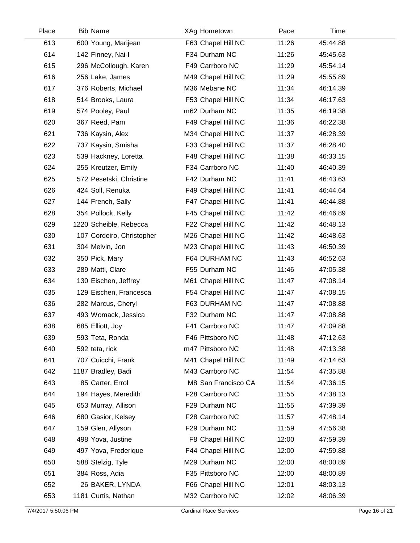| Place | <b>Bib Name</b>           | XAg Hometown        | Pace  | Time     |  |
|-------|---------------------------|---------------------|-------|----------|--|
| 613   | 600 Young, Marijean       | F63 Chapel Hill NC  | 11:26 | 45:44.88 |  |
| 614   | 142 Finney, Nai-I         | F34 Durham NC       | 11:26 | 45:45.63 |  |
| 615   | 296 McCollough, Karen     | F49 Carrboro NC     | 11:29 | 45:54.14 |  |
| 616   | 256 Lake, James           | M49 Chapel Hill NC  | 11:29 | 45:55.89 |  |
| 617   | 376 Roberts, Michael      | M36 Mebane NC       | 11:34 | 46:14.39 |  |
| 618   | 514 Brooks, Laura         | F53 Chapel Hill NC  | 11:34 | 46:17.63 |  |
| 619   | 574 Pooley, Paul          | m62 Durham NC       | 11:35 | 46:19.38 |  |
| 620   | 367 Reed, Pam             | F49 Chapel Hill NC  | 11:36 | 46:22.38 |  |
| 621   | 736 Kaysin, Alex          | M34 Chapel Hill NC  | 11:37 | 46:28.39 |  |
| 622   | 737 Kaysin, Smisha        | F33 Chapel Hill NC  | 11:37 | 46:28.40 |  |
| 623   | 539 Hackney, Loretta      | F48 Chapel Hill NC  | 11:38 | 46:33.15 |  |
| 624   | 255 Kreutzer, Emily       | F34 Carrboro NC     | 11:40 | 46:40.39 |  |
| 625   | 572 Pesetski, Christine   | F42 Durham NC       | 11:41 | 46:43.63 |  |
| 626   | 424 Soll, Renuka          | F49 Chapel Hill NC  | 11:41 | 46:44.64 |  |
| 627   | 144 French, Sally         | F47 Chapel Hill NC  | 11:41 | 46:44.88 |  |
| 628   | 354 Pollock, Kelly        | F45 Chapel Hill NC  | 11:42 | 46:46.89 |  |
| 629   | 1220 Scheible, Rebecca    | F22 Chapel Hill NC  | 11:42 | 46:48.13 |  |
| 630   | 107 Cordeiro, Christopher | M26 Chapel Hill NC  | 11:42 | 46:48.63 |  |
| 631   | 304 Melvin, Jon           | M23 Chapel Hill NC  | 11:43 | 46:50.39 |  |
| 632   | 350 Pick, Mary            | F64 DURHAM NC       | 11:43 | 46:52.63 |  |
| 633   | 289 Matti, Clare          | F55 Durham NC       | 11:46 | 47:05.38 |  |
| 634   | 130 Eischen, Jeffrey      | M61 Chapel Hill NC  | 11:47 | 47:08.14 |  |
| 635   | 129 Eischen, Francesca    | F54 Chapel Hill NC  | 11:47 | 47:08.15 |  |
| 636   | 282 Marcus, Cheryl        | F63 DURHAM NC       | 11:47 | 47:08.88 |  |
| 637   | 493 Womack, Jessica       | F32 Durham NC       | 11:47 | 47:08.88 |  |
| 638   | 685 Elliott, Joy          | F41 Carrboro NC     | 11:47 | 47:09.88 |  |
| 639   | 593 Teta, Ronda           | F46 Pittsboro NC    | 11:48 | 47:12.63 |  |
| 640   | 592 teta, rick            | m47 Pittsboro NC    | 11:48 | 47:13.38 |  |
| 641   | 707 Cuicchi, Frank        | M41 Chapel Hill NC  | 11:49 | 47:14.63 |  |
| 642   | 1187 Bradley, Badi        | M43 Carrboro NC     | 11:54 | 47:35.88 |  |
| 643   | 85 Carter, Errol          | M8 San Francisco CA | 11:54 | 47:36.15 |  |
| 644   | 194 Hayes, Meredith       | F28 Carrboro NC     | 11:55 | 47:38.13 |  |
| 645   | 653 Murray, Allison       | F29 Durham NC       | 11:55 | 47:39.39 |  |
| 646   | 680 Gasior, Kelsey        | F28 Carrboro NC     | 11:57 | 47:48.14 |  |
| 647   | 159 Glen, Allyson         | F29 Durham NC       | 11:59 | 47:56.38 |  |
| 648   | 498 Yova, Justine         | F8 Chapel Hill NC   | 12:00 | 47:59.39 |  |
| 649   | 497 Yova, Frederique      | F44 Chapel Hill NC  | 12:00 | 47:59.88 |  |
| 650   | 588 Stelzig, Tyle         | M29 Durham NC       | 12:00 | 48:00.89 |  |
| 651   | 384 Ross, Adia            | F35 Pittsboro NC    | 12:00 | 48:00.89 |  |
| 652   | 26 BAKER, LYNDA           | F66 Chapel Hill NC  | 12:01 | 48:03.13 |  |
| 653   | 1181 Curtis, Nathan       | M32 Carrboro NC     | 12:02 | 48:06.39 |  |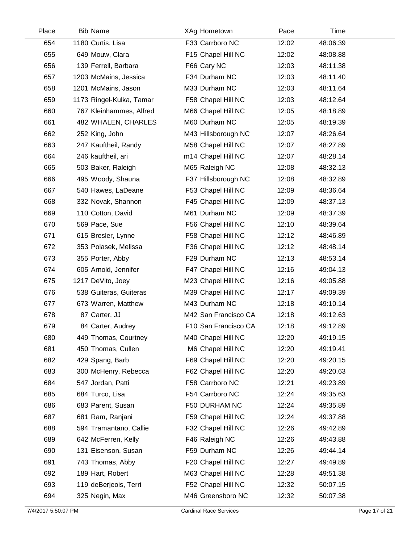| Place | <b>Bib Name</b>          | XAg Hometown         | Pace  | Time     |  |
|-------|--------------------------|----------------------|-------|----------|--|
| 654   | 1180 Curtis, Lisa        | F33 Carrboro NC      | 12:02 | 48:06.39 |  |
| 655   | 649 Mouw, Clara          | F15 Chapel Hill NC   | 12:02 | 48:08.88 |  |
| 656   | 139 Ferrell, Barbara     | F66 Cary NC          | 12:03 | 48:11.38 |  |
| 657   | 1203 McMains, Jessica    | F34 Durham NC        | 12:03 | 48:11.40 |  |
| 658   | 1201 McMains, Jason      | M33 Durham NC        | 12:03 | 48:11.64 |  |
| 659   | 1173 Ringel-Kulka, Tamar | F58 Chapel Hill NC   | 12:03 | 48:12.64 |  |
| 660   | 767 Kleinhammes, Alfred  | M66 Chapel Hill NC   | 12:05 | 48:18.89 |  |
| 661   | 482 WHALEN, CHARLES      | M60 Durham NC        | 12:05 | 48:19.39 |  |
| 662   | 252 King, John           | M43 Hillsborough NC  | 12:07 | 48:26.64 |  |
| 663   | 247 Kauftheil, Randy     | M58 Chapel Hill NC   | 12:07 | 48:27.89 |  |
| 664   | 246 kauftheil, ari       | m14 Chapel Hill NC   | 12:07 | 48:28.14 |  |
| 665   | 503 Baker, Raleigh       | M65 Raleigh NC       | 12:08 | 48:32.13 |  |
| 666   | 495 Woody, Shauna        | F37 Hillsborough NC  | 12:08 | 48:32.89 |  |
| 667   | 540 Hawes, LaDeane       | F53 Chapel Hill NC   | 12:09 | 48:36.64 |  |
| 668   | 332 Novak, Shannon       | F45 Chapel Hill NC   | 12:09 | 48:37.13 |  |
| 669   | 110 Cotton, David        | M61 Durham NC        | 12:09 | 48:37.39 |  |
| 670   | 569 Pace, Sue            | F56 Chapel Hill NC   | 12:10 | 48:39.64 |  |
| 671   | 615 Bresler, Lynne       | F58 Chapel Hill NC   | 12:12 | 48:46.89 |  |
| 672   | 353 Polasek, Melissa     | F36 Chapel Hill NC   | 12:12 | 48:48.14 |  |
| 673   | 355 Porter, Abby         | F29 Durham NC        | 12:13 | 48:53.14 |  |
| 674   | 605 Arnold, Jennifer     | F47 Chapel Hill NC   | 12:16 | 49:04.13 |  |
| 675   | 1217 DeVito, Joey        | M23 Chapel Hill NC   | 12:16 | 49:05.88 |  |
| 676   | 538 Guiteras, Guiteras   | M39 Chapel Hill NC   | 12:17 | 49:09.39 |  |
| 677   | 673 Warren, Matthew      | M43 Durham NC        | 12:18 | 49:10.14 |  |
| 678   | 87 Carter, JJ            | M42 San Francisco CA | 12:18 | 49:12.63 |  |
| 679   | 84 Carter, Audrey        | F10 San Francisco CA | 12:18 | 49:12.89 |  |
| 680   | 449 Thomas, Courtney     | M40 Chapel Hill NC   | 12:20 | 49:19.15 |  |
| 681   | 450 Thomas, Cullen       | M6 Chapel Hill NC    | 12:20 | 49:19.41 |  |
| 682   | 429 Spang, Barb          | F69 Chapel Hill NC   | 12:20 | 49:20.15 |  |
| 683   | 300 McHenry, Rebecca     | F62 Chapel Hill NC   | 12:20 | 49:20.63 |  |
| 684   | 547 Jordan, Patti        | F58 Carrboro NC      | 12:21 | 49:23.89 |  |
| 685   | 684 Turco, Lisa          | F54 Carrboro NC      | 12:24 | 49:35.63 |  |
| 686   | 683 Parent, Susan        | F50 DURHAM NC        | 12:24 | 49:35.89 |  |
| 687   | 681 Ram, Ranjani         | F59 Chapel Hill NC   | 12:24 | 49:37.88 |  |
| 688   | 594 Tramantano, Callie   | F32 Chapel Hill NC   | 12:26 | 49:42.89 |  |
| 689   | 642 McFerren, Kelly      | F46 Raleigh NC       | 12:26 | 49:43.88 |  |
| 690   | 131 Eisenson, Susan      | F59 Durham NC        | 12:26 | 49:44.14 |  |
| 691   | 743 Thomas, Abby         | F20 Chapel Hill NC   | 12:27 | 49:49.89 |  |
| 692   | 189 Hart, Robert         | M63 Chapel Hill NC   | 12:28 | 49:51.38 |  |
| 693   | 119 deBerjeois, Terri    | F52 Chapel Hill NC   | 12:32 | 50:07.15 |  |
| 694   | 325 Negin, Max           | M46 Greensboro NC    | 12:32 | 50:07.38 |  |
|       |                          |                      |       |          |  |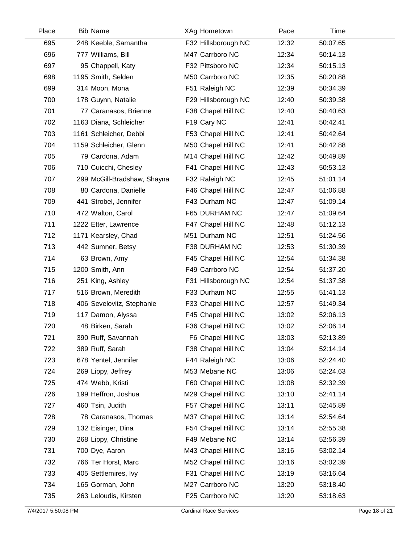| Place | <b>Bib Name</b>             | XAg Hometown        | Pace  | Time     |  |
|-------|-----------------------------|---------------------|-------|----------|--|
| 695   | 248 Keeble, Samantha        | F32 Hillsborough NC | 12:32 | 50:07.65 |  |
| 696   | 777 Williams, Bill          | M47 Carrboro NC     | 12:34 | 50:14.13 |  |
| 697   | 95 Chappell, Katy           | F32 Pittsboro NC    | 12:34 | 50:15.13 |  |
| 698   | 1195 Smith, Selden          | M50 Carrboro NC     | 12:35 | 50:20.88 |  |
| 699   | 314 Moon, Mona              | F51 Raleigh NC      | 12:39 | 50:34.39 |  |
| 700   | 178 Guynn, Natalie          | F29 Hillsborough NC | 12:40 | 50:39.38 |  |
| 701   | 77 Caranasos, Brienne       | F38 Chapel Hill NC  | 12:40 | 50:40.63 |  |
| 702   | 1163 Diana, Schleicher      | F19 Cary NC         | 12:41 | 50:42.41 |  |
| 703   | 1161 Schleicher, Debbi      | F53 Chapel Hill NC  | 12:41 | 50:42.64 |  |
| 704   | 1159 Schleicher, Glenn      | M50 Chapel Hill NC  | 12:41 | 50:42.88 |  |
| 705   | 79 Cardona, Adam            | M14 Chapel Hill NC  | 12:42 | 50:49.89 |  |
| 706   | 710 Cuicchi, Chesley        | F41 Chapel Hill NC  | 12:43 | 50:53.13 |  |
| 707   | 299 McGill-Bradshaw, Shayna | F32 Raleigh NC      | 12:45 | 51:01.14 |  |
| 708   | 80 Cardona, Danielle        | F46 Chapel Hill NC  | 12:47 | 51:06.88 |  |
| 709   | 441 Strobel, Jennifer       | F43 Durham NC       | 12:47 | 51:09.14 |  |
| 710   | 472 Walton, Carol           | F65 DURHAM NC       | 12:47 | 51:09.64 |  |
| 711   | 1222 Etter, Lawrence        | F47 Chapel Hill NC  | 12:48 | 51:12.13 |  |
| 712   | 1171 Kearsley, Chad         | M51 Durham NC       | 12:51 | 51:24.56 |  |
| 713   | 442 Sumner, Betsy           | F38 DURHAM NC       | 12:53 | 51:30.39 |  |
| 714   | 63 Brown, Amy               | F45 Chapel Hill NC  | 12:54 | 51:34.38 |  |
| 715   | 1200 Smith, Ann             | F49 Carrboro NC     | 12:54 | 51:37.20 |  |
| 716   | 251 King, Ashley            | F31 Hillsborough NC | 12:54 | 51:37.38 |  |
| 717   | 516 Brown, Meredith         | F33 Durham NC       | 12:55 | 51:41.13 |  |
| 718   | 406 Sevelovitz, Stephanie   | F33 Chapel Hill NC  | 12:57 | 51:49.34 |  |
| 719   | 117 Damon, Alyssa           | F45 Chapel Hill NC  | 13:02 | 52:06.13 |  |
| 720   | 48 Birken, Sarah            | F36 Chapel Hill NC  | 13:02 | 52:06.14 |  |
| 721   | 390 Ruff, Savannah          | F6 Chapel Hill NC   | 13:03 | 52:13.89 |  |
| 722   | 389 Ruff, Sarah             | F38 Chapel Hill NC  | 13:04 | 52:14.14 |  |
| 723   | 678 Yentel, Jennifer        | F44 Raleigh NC      | 13:06 | 52:24.40 |  |
| 724   | 269 Lippy, Jeffrey          | M53 Mebane NC       | 13:06 | 52:24.63 |  |
| 725   | 474 Webb, Kristi            | F60 Chapel Hill NC  | 13:08 | 52:32.39 |  |
| 726   | 199 Heffron, Joshua         | M29 Chapel Hill NC  | 13:10 | 52:41.14 |  |
| 727   | 460 Tsin, Judith            | F57 Chapel Hill NC  | 13:11 | 52:45.89 |  |
| 728   | 78 Caranasos, Thomas        | M37 Chapel Hill NC  | 13:14 | 52:54.64 |  |
| 729   | 132 Eisinger, Dina          | F54 Chapel Hill NC  | 13:14 | 52:55.38 |  |
| 730   | 268 Lippy, Christine        | F49 Mebane NC       | 13:14 | 52:56.39 |  |
| 731   | 700 Dye, Aaron              | M43 Chapel Hill NC  | 13:16 | 53:02.14 |  |
| 732   | 766 Ter Horst, Marc         | M52 Chapel Hill NC  | 13:16 | 53:02.39 |  |
| 733   | 405 Settlemires, Ivy        | F31 Chapel Hill NC  | 13:19 | 53:16.64 |  |
| 734   | 165 Gorman, John            | M27 Carrboro NC     | 13:20 | 53:18.40 |  |
| 735   | 263 Leloudis, Kirsten       | F25 Carrboro NC     | 13:20 | 53:18.63 |  |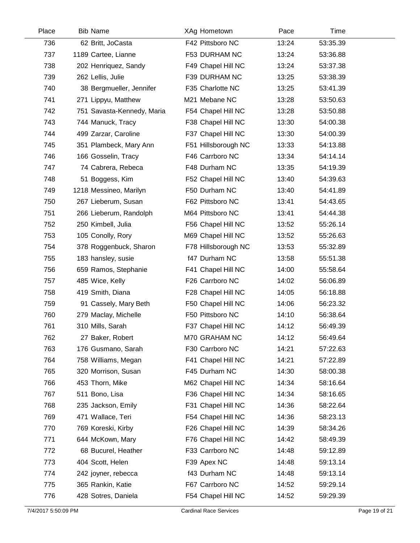| Place | <b>Bib Name</b>            | XAg Hometown        | Pace  | Time     |  |
|-------|----------------------------|---------------------|-------|----------|--|
| 736   | 62 Britt, JoCasta          | F42 Pittsboro NC    | 13:24 | 53:35.39 |  |
| 737   | 1189 Cartee, Lianne        | F53 DURHAM NC       | 13:24 | 53:36.88 |  |
| 738   | 202 Henriquez, Sandy       | F49 Chapel Hill NC  | 13:24 | 53:37.38 |  |
| 739   | 262 Lellis, Julie          | F39 DURHAM NC       | 13:25 | 53:38.39 |  |
| 740   | 38 Bergmueller, Jennifer   | F35 Charlotte NC    | 13:25 | 53:41.39 |  |
| 741   | 271 Lippyu, Matthew        | M21 Mebane NC       | 13:28 | 53:50.63 |  |
| 742   | 751 Savasta-Kennedy, Maria | F54 Chapel Hill NC  | 13:28 | 53:50.88 |  |
| 743   | 744 Manuck, Tracy          | F38 Chapel Hill NC  | 13:30 | 54:00.38 |  |
| 744   | 499 Zarzar, Caroline       | F37 Chapel Hill NC  | 13:30 | 54:00.39 |  |
| 745   | 351 Plambeck, Mary Ann     | F51 Hillsborough NC | 13:33 | 54:13.88 |  |
| 746   | 166 Gosselin, Tracy        | F46 Carrboro NC     | 13:34 | 54:14.14 |  |
| 747   | 74 Cabrera, Rebeca         | F48 Durham NC       | 13:35 | 54:19.39 |  |
| 748   | 51 Boggess, Kim            | F52 Chapel Hill NC  | 13:40 | 54:39.63 |  |
| 749   | 1218 Messineo, Marilyn     | F50 Durham NC       | 13:40 | 54:41.89 |  |
| 750   | 267 Lieberum, Susan        | F62 Pittsboro NC    | 13:41 | 54:43.65 |  |
| 751   | 266 Lieberum, Randolph     | M64 Pittsboro NC    | 13:41 | 54:44.38 |  |
| 752   | 250 Kimbell, Julia         | F56 Chapel Hill NC  | 13:52 | 55:26.14 |  |
| 753   | 105 Conolly, Rory          | M69 Chapel Hill NC  | 13:52 | 55:26.63 |  |
| 754   | 378 Roggenbuck, Sharon     | F78 Hillsborough NC | 13:53 | 55:32.89 |  |
| 755   | 183 hansley, susie         | f47 Durham NC       | 13:58 | 55:51.38 |  |
| 756   | 659 Ramos, Stephanie       | F41 Chapel Hill NC  | 14:00 | 55:58.64 |  |
| 757   | 485 Wice, Kelly            | F26 Carrboro NC     | 14:02 | 56:06.89 |  |
| 758   | 419 Smith, Diana           | F28 Chapel Hill NC  | 14:05 | 56:18.88 |  |
| 759   | 91 Cassely, Mary Beth      | F50 Chapel Hill NC  | 14:06 | 56:23.32 |  |
| 760   | 279 Maclay, Michelle       | F50 Pittsboro NC    | 14:10 | 56:38.64 |  |
| 761   | 310 Mills, Sarah           | F37 Chapel Hill NC  | 14:12 | 56:49.39 |  |
| 762   | 27 Baker, Robert           | M70 GRAHAM NC       | 14:12 | 56:49.64 |  |
| 763   | 176 Gusmano, Sarah         | F30 Carrboro NC     | 14:21 | 57:22.63 |  |
| 764   | 758 Williams, Megan        | F41 Chapel Hill NC  | 14:21 | 57:22.89 |  |
| 765   | 320 Morrison, Susan        | F45 Durham NC       | 14:30 | 58:00.38 |  |
| 766   | 453 Thorn, Mike            | M62 Chapel Hill NC  | 14:34 | 58:16.64 |  |
| 767   | 511 Bono, Lisa             | F36 Chapel Hill NC  | 14:34 | 58:16.65 |  |
| 768   | 235 Jackson, Emily         | F31 Chapel Hill NC  | 14:36 | 58:22.64 |  |
| 769   | 471 Wallace, Teri          | F54 Chapel Hill NC  | 14:36 | 58:23.13 |  |
| 770   | 769 Koreski, Kirby         | F26 Chapel Hill NC  | 14:39 | 58:34.26 |  |
| 771   | 644 McKown, Mary           | F76 Chapel Hill NC  | 14:42 | 58:49.39 |  |
| 772   | 68 Bucurel, Heather        | F33 Carrboro NC     | 14:48 | 59:12.89 |  |
| 773   | 404 Scott, Helen           | F39 Apex NC         | 14:48 | 59:13.14 |  |
| 774   | 242 joyner, rebecca        | f43 Durham NC       | 14:48 | 59:13.14 |  |
| 775   | 365 Rankin, Katie          | F67 Carrboro NC     | 14:52 | 59:29.14 |  |
| 776   | 428 Sotres, Daniela        | F54 Chapel Hill NC  | 14:52 | 59:29.39 |  |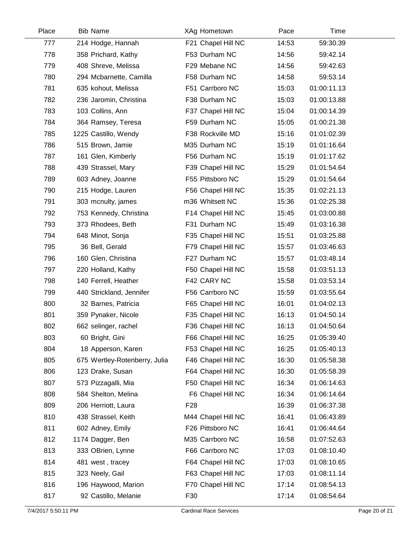| Place | <b>Bib Name</b>               | XAg Hometown       | Pace  | <b>Time</b> |  |
|-------|-------------------------------|--------------------|-------|-------------|--|
| 777   | 214 Hodge, Hannah             | F21 Chapel Hill NC | 14:53 | 59:30.39    |  |
| 778   | 358 Prichard, Kathy           | F53 Durham NC      | 14:56 | 59:42.14    |  |
| 779   | 408 Shreve, Melissa           | F29 Mebane NC      | 14:56 | 59:42.63    |  |
| 780   | 294 Mcbarnette, Camilla       | F58 Durham NC      | 14:58 | 59:53.14    |  |
| 781   | 635 kohout, Melissa           | F51 Carrboro NC    | 15:03 | 01:00:11.13 |  |
| 782   | 236 Jaromin, Christina        | F38 Durham NC      | 15:03 | 01:00:13.88 |  |
| 783   | 103 Collins, Ann              | F37 Chapel Hill NC | 15:04 | 01:00:14.39 |  |
| 784   | 364 Ramsey, Teresa            | F59 Durham NC      | 15:05 | 01:00:21.38 |  |
| 785   | 1225 Castillo, Wendy          | F38 Rockville MD   | 15:16 | 01:01:02.39 |  |
| 786   | 515 Brown, Jamie              | M35 Durham NC      | 15:19 | 01:01:16.64 |  |
| 787   | 161 Glen, Kimberly            | F56 Durham NC      | 15:19 | 01:01:17.62 |  |
| 788   | 439 Strassel, Mary            | F39 Chapel Hill NC | 15:29 | 01:01:54.64 |  |
| 789   | 603 Adney, Joanne             | F55 Pittsboro NC   | 15:29 | 01:01:54.64 |  |
| 790   | 215 Hodge, Lauren             | F56 Chapel Hill NC | 15:35 | 01:02:21.13 |  |
| 791   | 303 mcnulty, james            | m36 Whitsett NC    | 15:36 | 01:02:25.38 |  |
| 792   | 753 Kennedy, Christina        | F14 Chapel Hill NC | 15:45 | 01:03:00.88 |  |
| 793   | 373 Rhodees, Beth             | F31 Durham NC      | 15:49 | 01:03:16.38 |  |
| 794   | 648 Minot, Sonja              | F35 Chapel Hill NC | 15:51 | 01:03:25.88 |  |
| 795   | 36 Bell, Gerald               | F79 Chapel Hill NC | 15:57 | 01:03:46.63 |  |
| 796   | 160 Glen, Christina           | F27 Durham NC      | 15:57 | 01:03:48.14 |  |
| 797   | 220 Holland, Kathy            | F50 Chapel Hill NC | 15:58 | 01:03:51.13 |  |
| 798   | 140 Ferrell, Heather          | F42 CARY NC        | 15:58 | 01:03:53.14 |  |
| 799   | 440 Strickland, Jennifer      | F56 Carrboro NC    | 15:59 | 01:03:55.64 |  |
| 800   | 32 Barnes, Patricia           | F65 Chapel Hill NC | 16:01 | 01:04:02.13 |  |
| 801   | 359 Pynaker, Nicole           | F35 Chapel Hill NC | 16:13 | 01:04:50.14 |  |
| 802   | 662 selinger, rachel          | F36 Chapel Hill NC | 16:13 | 01:04:50.64 |  |
| 803   | 60 Bright, Gini               | F66 Chapel Hill NC | 16:25 | 01:05:39.40 |  |
| 804   | 18 Apperson, Karen            | F53 Chapel Hill NC | 16:25 | 01:05:40.13 |  |
| 805   | 675 Wertley-Rotenberry, Julia | F46 Chapel Hill NC | 16:30 | 01:05:58.38 |  |
| 806   | 123 Drake, Susan              | F64 Chapel Hill NC | 16:30 | 01:05:58.39 |  |
| 807   | 573 Pizzagalli, Mia           | F50 Chapel Hill NC | 16:34 | 01:06:14.63 |  |
| 808   | 584 Shelton, Melina           | F6 Chapel Hill NC  | 16:34 | 01:06:14.64 |  |
| 809   | 206 Herriott, Laura           | F <sub>28</sub>    | 16:39 | 01:06:37.38 |  |
| 810   | 438 Strassel, Keith           | M44 Chapel Hill NC | 16:41 | 01:06:43.89 |  |
| 811   | 602 Adney, Emily              | F26 Pittsboro NC   | 16:41 | 01:06:44.64 |  |
| 812   | 1174 Dagger, Ben              | M35 Carrboro NC    | 16:58 | 01:07:52.63 |  |
| 813   | 333 OBrien, Lynne             | F66 Carrboro NC    | 17:03 | 01:08:10.40 |  |
| 814   | 481 west, tracey              | F64 Chapel Hill NC | 17:03 | 01:08:10.65 |  |
| 815   | 323 Neely, Gail               | F63 Chapel Hill NC | 17:03 | 01:08:11.14 |  |
| 816   | 196 Haywood, Marion           | F70 Chapel Hill NC | 17:14 | 01:08:54.13 |  |
| 817   | 92 Castillo, Melanie          | F30                | 17:14 | 01:08:54.64 |  |